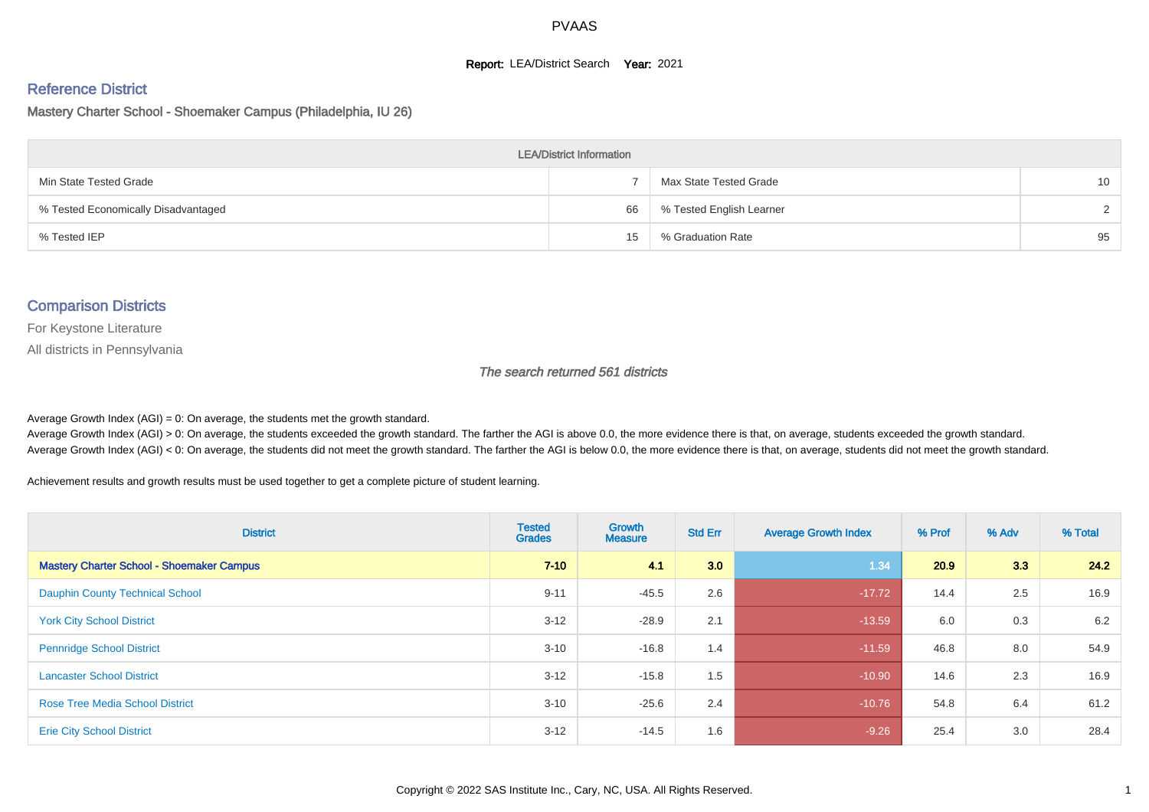#### **Report: LEA/District Search Year: 2021**

# Reference District

Mastery Charter School - Shoemaker Campus (Philadelphia, IU 26)

| <b>LEA/District Information</b>     |    |                          |                 |  |  |  |  |  |  |  |
|-------------------------------------|----|--------------------------|-----------------|--|--|--|--|--|--|--|
| Min State Tested Grade              |    | Max State Tested Grade   | 10 <sup>1</sup> |  |  |  |  |  |  |  |
| % Tested Economically Disadvantaged | 66 | % Tested English Learner | $\mathcal{D}$   |  |  |  |  |  |  |  |
| % Tested IEP                        | 15 | % Graduation Rate        | 95              |  |  |  |  |  |  |  |

#### Comparison Districts

For Keystone Literature

All districts in Pennsylvania

The search returned 561 districts

Average Growth Index  $(AGI) = 0$ : On average, the students met the growth standard.

Average Growth Index (AGI) > 0: On average, the students exceeded the growth standard. The farther the AGI is above 0.0, the more evidence there is that, on average, students exceeded the growth standard. Average Growth Index (AGI) < 0: On average, the students did not meet the growth standard. The farther the AGI is below 0.0, the more evidence there is that, on average, students did not meet the growth standard.

Achievement results and growth results must be used together to get a complete picture of student learning.

| <b>District</b>                                  | <b>Tested</b><br><b>Grades</b> | <b>Growth</b><br><b>Measure</b> | <b>Std Err</b> | <b>Average Growth Index</b> | % Prof | % Adv | % Total |
|--------------------------------------------------|--------------------------------|---------------------------------|----------------|-----------------------------|--------|-------|---------|
| <b>Mastery Charter School - Shoemaker Campus</b> | $7 - 10$                       | 41                              | 3.0            | 1.34                        | 20.9   | 3.3   | 24.2    |
| <b>Dauphin County Technical School</b>           | $9 - 11$                       | $-45.5$                         | 2.6            | $-17.72$                    | 14.4   | 2.5   | 16.9    |
| <b>York City School District</b>                 | $3 - 12$                       | $-28.9$                         | 2.1            | $-13.59$                    | 6.0    | 0.3   | 6.2     |
| <b>Pennridge School District</b>                 | $3 - 10$                       | $-16.8$                         | 1.4            | $-11.59$                    | 46.8   | 8.0   | 54.9    |
| <b>Lancaster School District</b>                 | $3 - 12$                       | $-15.8$                         | 1.5            | $-10.90$                    | 14.6   | 2.3   | 16.9    |
| <b>Rose Tree Media School District</b>           | $3 - 10$                       | $-25.6$                         | 2.4            | $-10.76$                    | 54.8   | 6.4   | 61.2    |
| <b>Erie City School District</b>                 | $3 - 12$                       | $-14.5$                         | 1.6            | $-9.26$                     | 25.4   | 3.0   | 28.4    |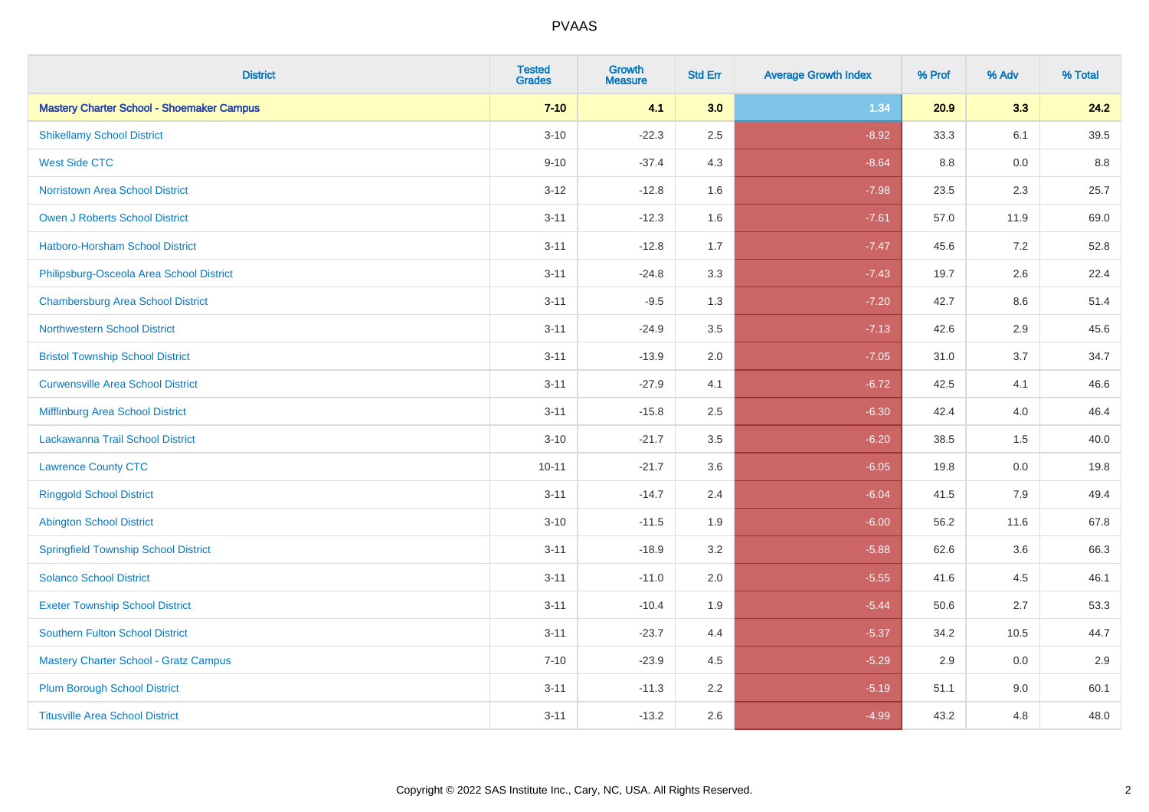| <b>District</b>                                  | <b>Tested</b><br><b>Grades</b> | <b>Growth</b><br><b>Measure</b> | <b>Std Err</b> | <b>Average Growth Index</b> | % Prof | % Adv | % Total |
|--------------------------------------------------|--------------------------------|---------------------------------|----------------|-----------------------------|--------|-------|---------|
| <b>Mastery Charter School - Shoemaker Campus</b> | $7 - 10$                       | 4.1                             | 3.0            | 1.34                        | 20.9   | 3.3   | 24.2    |
| <b>Shikellamy School District</b>                | $3 - 10$                       | $-22.3$                         | 2.5            | $-8.92$                     | 33.3   | 6.1   | 39.5    |
| <b>West Side CTC</b>                             | $9 - 10$                       | $-37.4$                         | 4.3            | $-8.64$                     | 8.8    | 0.0   | 8.8     |
| <b>Norristown Area School District</b>           | $3 - 12$                       | $-12.8$                         | 1.6            | $-7.98$                     | 23.5   | 2.3   | 25.7    |
| Owen J Roberts School District                   | $3 - 11$                       | $-12.3$                         | 1.6            | $-7.61$                     | 57.0   | 11.9  | 69.0    |
| <b>Hatboro-Horsham School District</b>           | $3 - 11$                       | $-12.8$                         | 1.7            | $-7.47$                     | 45.6   | 7.2   | 52.8    |
| Philipsburg-Osceola Area School District         | $3 - 11$                       | $-24.8$                         | 3.3            | $-7.43$                     | 19.7   | 2.6   | 22.4    |
| <b>Chambersburg Area School District</b>         | $3 - 11$                       | $-9.5$                          | 1.3            | $-7.20$                     | 42.7   | 8.6   | 51.4    |
| <b>Northwestern School District</b>              | $3 - 11$                       | $-24.9$                         | 3.5            | $-7.13$                     | 42.6   | 2.9   | 45.6    |
| <b>Bristol Township School District</b>          | $3 - 11$                       | $-13.9$                         | 2.0            | $-7.05$                     | 31.0   | 3.7   | 34.7    |
| <b>Curwensville Area School District</b>         | $3 - 11$                       | $-27.9$                         | 4.1            | $-6.72$                     | 42.5   | 4.1   | 46.6    |
| Mifflinburg Area School District                 | $3 - 11$                       | $-15.8$                         | 2.5            | $-6.30$                     | 42.4   | 4.0   | 46.4    |
| Lackawanna Trail School District                 | $3 - 10$                       | $-21.7$                         | 3.5            | $-6.20$                     | 38.5   | 1.5   | 40.0    |
| <b>Lawrence County CTC</b>                       | $10 - 11$                      | $-21.7$                         | 3.6            | $-6.05$                     | 19.8   | 0.0   | 19.8    |
| <b>Ringgold School District</b>                  | $3 - 11$                       | $-14.7$                         | 2.4            | $-6.04$                     | 41.5   | 7.9   | 49.4    |
| <b>Abington School District</b>                  | $3 - 10$                       | $-11.5$                         | 1.9            | $-6.00$                     | 56.2   | 11.6  | 67.8    |
| <b>Springfield Township School District</b>      | $3 - 11$                       | $-18.9$                         | 3.2            | $-5.88$                     | 62.6   | 3.6   | 66.3    |
| <b>Solanco School District</b>                   | $3 - 11$                       | $-11.0$                         | 2.0            | $-5.55$                     | 41.6   | 4.5   | 46.1    |
| <b>Exeter Township School District</b>           | $3 - 11$                       | $-10.4$                         | 1.9            | $-5.44$                     | 50.6   | 2.7   | 53.3    |
| <b>Southern Fulton School District</b>           | $3 - 11$                       | $-23.7$                         | 4.4            | $-5.37$                     | 34.2   | 10.5  | 44.7    |
| <b>Mastery Charter School - Gratz Campus</b>     | $7 - 10$                       | $-23.9$                         | 4.5            | $-5.29$                     | 2.9    | 0.0   | 2.9     |
| <b>Plum Borough School District</b>              | $3 - 11$                       | $-11.3$                         | 2.2            | $-5.19$                     | 51.1   | 9.0   | 60.1    |
| <b>Titusville Area School District</b>           | $3 - 11$                       | $-13.2$                         | 2.6            | $-4.99$                     | 43.2   | 4.8   | 48.0    |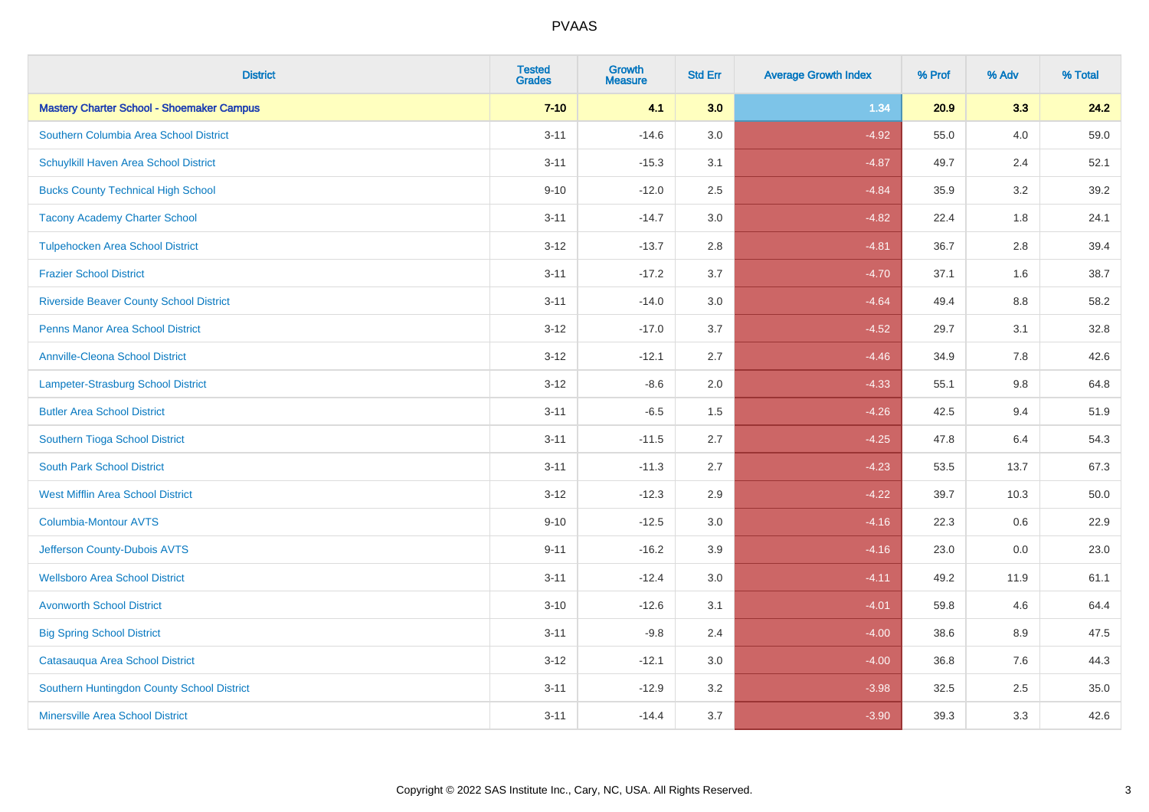| <b>District</b>                                  | <b>Tested</b><br><b>Grades</b> | <b>Growth</b><br><b>Measure</b> | <b>Std Err</b> | <b>Average Growth Index</b> | % Prof | % Adv   | % Total |
|--------------------------------------------------|--------------------------------|---------------------------------|----------------|-----------------------------|--------|---------|---------|
| <b>Mastery Charter School - Shoemaker Campus</b> | $7 - 10$                       | 4.1                             | 3.0            | 1.34                        | 20.9   | 3.3     | 24.2    |
| Southern Columbia Area School District           | $3 - 11$                       | $-14.6$                         | 3.0            | $-4.92$                     | 55.0   | 4.0     | 59.0    |
| Schuylkill Haven Area School District            | $3 - 11$                       | $-15.3$                         | 3.1            | $-4.87$                     | 49.7   | 2.4     | 52.1    |
| <b>Bucks County Technical High School</b>        | $9 - 10$                       | $-12.0$                         | 2.5            | $-4.84$                     | 35.9   | 3.2     | 39.2    |
| <b>Tacony Academy Charter School</b>             | $3 - 11$                       | $-14.7$                         | 3.0            | $-4.82$                     | 22.4   | 1.8     | 24.1    |
| <b>Tulpehocken Area School District</b>          | $3 - 12$                       | $-13.7$                         | 2.8            | $-4.81$                     | 36.7   | 2.8     | 39.4    |
| <b>Frazier School District</b>                   | $3 - 11$                       | $-17.2$                         | 3.7            | $-4.70$                     | 37.1   | 1.6     | 38.7    |
| <b>Riverside Beaver County School District</b>   | $3 - 11$                       | $-14.0$                         | 3.0            | $-4.64$                     | 49.4   | 8.8     | 58.2    |
| <b>Penns Manor Area School District</b>          | $3 - 12$                       | $-17.0$                         | 3.7            | $-4.52$                     | 29.7   | 3.1     | 32.8    |
| <b>Annville-Cleona School District</b>           | $3 - 12$                       | $-12.1$                         | 2.7            | $-4.46$                     | 34.9   | 7.8     | 42.6    |
| <b>Lampeter-Strasburg School District</b>        | $3 - 12$                       | $-8.6$                          | 2.0            | $-4.33$                     | 55.1   | 9.8     | 64.8    |
| <b>Butler Area School District</b>               | $3 - 11$                       | $-6.5$                          | 1.5            | $-4.26$                     | 42.5   | 9.4     | 51.9    |
| Southern Tioga School District                   | $3 - 11$                       | $-11.5$                         | 2.7            | $-4.25$                     | 47.8   | 6.4     | 54.3    |
| <b>South Park School District</b>                | $3 - 11$                       | $-11.3$                         | 2.7            | $-4.23$                     | 53.5   | 13.7    | 67.3    |
| <b>West Mifflin Area School District</b>         | $3 - 12$                       | $-12.3$                         | 2.9            | $-4.22$                     | 39.7   | 10.3    | 50.0    |
| <b>Columbia-Montour AVTS</b>                     | $9 - 10$                       | $-12.5$                         | 3.0            | $-4.16$                     | 22.3   | $0.6\,$ | 22.9    |
| Jefferson County-Dubois AVTS                     | $9 - 11$                       | $-16.2$                         | 3.9            | $-4.16$                     | 23.0   | 0.0     | 23.0    |
| <b>Wellsboro Area School District</b>            | $3 - 11$                       | $-12.4$                         | 3.0            | $-4.11$                     | 49.2   | 11.9    | 61.1    |
| <b>Avonworth School District</b>                 | $3 - 10$                       | $-12.6$                         | 3.1            | $-4.01$                     | 59.8   | 4.6     | 64.4    |
| <b>Big Spring School District</b>                | $3 - 11$                       | $-9.8$                          | 2.4            | $-4.00$                     | 38.6   | 8.9     | 47.5    |
| Catasauqua Area School District                  | $3 - 12$                       | $-12.1$                         | 3.0            | $-4.00$                     | 36.8   | 7.6     | 44.3    |
| Southern Huntingdon County School District       | $3 - 11$                       | $-12.9$                         | 3.2            | $-3.98$                     | 32.5   | 2.5     | 35.0    |
| <b>Minersville Area School District</b>          | $3 - 11$                       | $-14.4$                         | 3.7            | $-3.90$                     | 39.3   | 3.3     | 42.6    |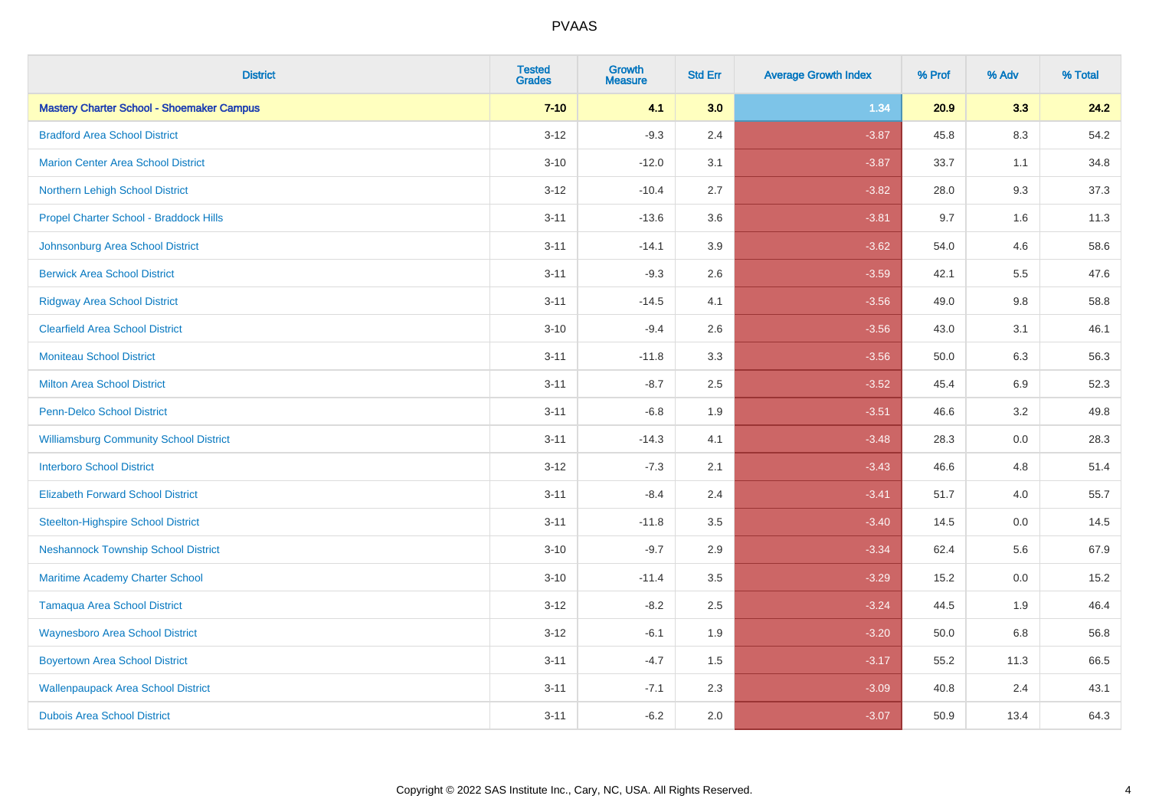| <b>District</b>                                  | <b>Tested</b><br><b>Grades</b> | <b>Growth</b><br><b>Measure</b> | <b>Std Err</b> | <b>Average Growth Index</b> | % Prof | % Adv   | % Total |
|--------------------------------------------------|--------------------------------|---------------------------------|----------------|-----------------------------|--------|---------|---------|
| <b>Mastery Charter School - Shoemaker Campus</b> | $7 - 10$                       | 4.1                             | 3.0            | 1.34                        | 20.9   | 3.3     | 24.2    |
| <b>Bradford Area School District</b>             | $3 - 12$                       | $-9.3$                          | 2.4            | $-3.87$                     | 45.8   | $8.3\,$ | 54.2    |
| <b>Marion Center Area School District</b>        | $3 - 10$                       | $-12.0$                         | 3.1            | $-3.87$                     | 33.7   | 1.1     | 34.8    |
| Northern Lehigh School District                  | $3 - 12$                       | $-10.4$                         | 2.7            | $-3.82$                     | 28.0   | 9.3     | 37.3    |
| Propel Charter School - Braddock Hills           | $3 - 11$                       | $-13.6$                         | 3.6            | $-3.81$                     | 9.7    | 1.6     | 11.3    |
| Johnsonburg Area School District                 | $3 - 11$                       | $-14.1$                         | 3.9            | $-3.62$                     | 54.0   | 4.6     | 58.6    |
| <b>Berwick Area School District</b>              | $3 - 11$                       | $-9.3$                          | 2.6            | $-3.59$                     | 42.1   | 5.5     | 47.6    |
| <b>Ridgway Area School District</b>              | $3 - 11$                       | $-14.5$                         | 4.1            | $-3.56$                     | 49.0   | 9.8     | 58.8    |
| <b>Clearfield Area School District</b>           | $3 - 10$                       | $-9.4$                          | 2.6            | $-3.56$                     | 43.0   | 3.1     | 46.1    |
| <b>Moniteau School District</b>                  | $3 - 11$                       | $-11.8$                         | 3.3            | $-3.56$                     | 50.0   | 6.3     | 56.3    |
| <b>Milton Area School District</b>               | $3 - 11$                       | $-8.7$                          | 2.5            | $-3.52$                     | 45.4   | 6.9     | 52.3    |
| <b>Penn-Delco School District</b>                | $3 - 11$                       | $-6.8$                          | 1.9            | $-3.51$                     | 46.6   | 3.2     | 49.8    |
| <b>Williamsburg Community School District</b>    | $3 - 11$                       | $-14.3$                         | 4.1            | $-3.48$                     | 28.3   | $0.0\,$ | 28.3    |
| <b>Interboro School District</b>                 | $3 - 12$                       | $-7.3$                          | 2.1            | $-3.43$                     | 46.6   | 4.8     | 51.4    |
| <b>Elizabeth Forward School District</b>         | $3 - 11$                       | $-8.4$                          | 2.4            | $-3.41$                     | 51.7   | 4.0     | 55.7    |
| <b>Steelton-Highspire School District</b>        | $3 - 11$                       | $-11.8$                         | 3.5            | $-3.40$                     | 14.5   | $0.0\,$ | 14.5    |
| <b>Neshannock Township School District</b>       | $3 - 10$                       | $-9.7$                          | 2.9            | $-3.34$                     | 62.4   | 5.6     | 67.9    |
| Maritime Academy Charter School                  | $3 - 10$                       | $-11.4$                         | 3.5            | $-3.29$                     | 15.2   | 0.0     | 15.2    |
| <b>Tamaqua Area School District</b>              | $3 - 12$                       | $-8.2$                          | 2.5            | $-3.24$                     | 44.5   | 1.9     | 46.4    |
| <b>Waynesboro Area School District</b>           | $3 - 12$                       | $-6.1$                          | 1.9            | $-3.20$                     | 50.0   | 6.8     | 56.8    |
| <b>Boyertown Area School District</b>            | $3 - 11$                       | $-4.7$                          | 1.5            | $-3.17$                     | 55.2   | 11.3    | 66.5    |
| <b>Wallenpaupack Area School District</b>        | $3 - 11$                       | $-7.1$                          | 2.3            | $-3.09$                     | 40.8   | 2.4     | 43.1    |
| <b>Dubois Area School District</b>               | $3 - 11$                       | $-6.2$                          | 2.0            | $-3.07$                     | 50.9   | 13.4    | 64.3    |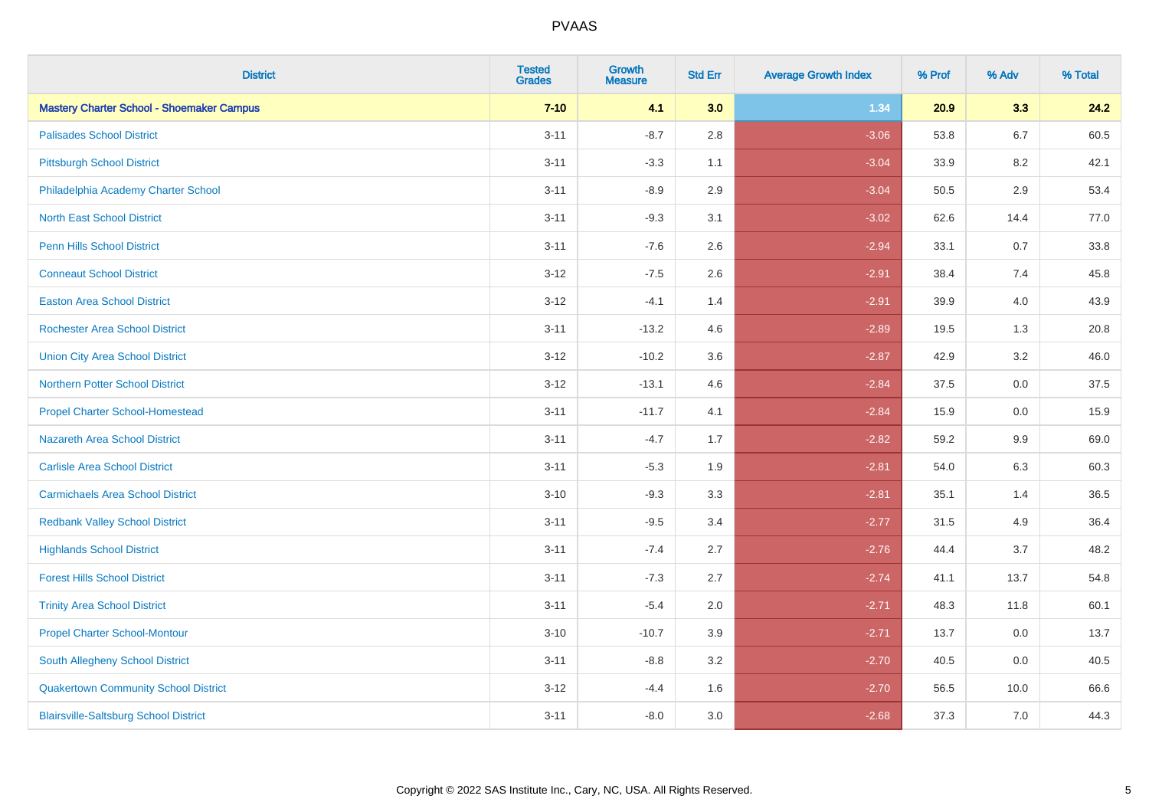| <b>District</b>                                  | <b>Tested</b><br><b>Grades</b> | <b>Growth</b><br><b>Measure</b> | <b>Std Err</b> | <b>Average Growth Index</b> | % Prof | % Adv   | % Total |
|--------------------------------------------------|--------------------------------|---------------------------------|----------------|-----------------------------|--------|---------|---------|
| <b>Mastery Charter School - Shoemaker Campus</b> | $7 - 10$                       | 4.1                             | 3.0            | 1.34                        | 20.9   | 3.3     | 24.2    |
| <b>Palisades School District</b>                 | $3 - 11$                       | $-8.7$                          | 2.8            | $-3.06$                     | 53.8   | $6.7\,$ | 60.5    |
| <b>Pittsburgh School District</b>                | $3 - 11$                       | $-3.3$                          | 1.1            | $-3.04$                     | 33.9   | 8.2     | 42.1    |
| Philadelphia Academy Charter School              | $3 - 11$                       | $-8.9$                          | 2.9            | $-3.04$                     | 50.5   | 2.9     | 53.4    |
| <b>North East School District</b>                | $3 - 11$                       | $-9.3$                          | 3.1            | $-3.02$                     | 62.6   | 14.4    | 77.0    |
| <b>Penn Hills School District</b>                | $3 - 11$                       | $-7.6$                          | 2.6            | $-2.94$                     | 33.1   | 0.7     | 33.8    |
| <b>Conneaut School District</b>                  | $3 - 12$                       | $-7.5$                          | 2.6            | $-2.91$                     | 38.4   | 7.4     | 45.8    |
| <b>Easton Area School District</b>               | $3 - 12$                       | $-4.1$                          | 1.4            | $-2.91$                     | 39.9   | 4.0     | 43.9    |
| <b>Rochester Area School District</b>            | $3 - 11$                       | $-13.2$                         | 4.6            | $-2.89$                     | 19.5   | 1.3     | 20.8    |
| <b>Union City Area School District</b>           | $3-12$                         | $-10.2$                         | 3.6            | $-2.87$                     | 42.9   | $3.2\,$ | 46.0    |
| Northern Potter School District                  | $3-12$                         | $-13.1$                         | 4.6            | $-2.84$                     | 37.5   | 0.0     | 37.5    |
| <b>Propel Charter School-Homestead</b>           | $3 - 11$                       | $-11.7$                         | 4.1            | $-2.84$                     | 15.9   | 0.0     | 15.9    |
| Nazareth Area School District                    | $3 - 11$                       | $-4.7$                          | 1.7            | $-2.82$                     | 59.2   | 9.9     | 69.0    |
| <b>Carlisle Area School District</b>             | $3 - 11$                       | $-5.3$                          | 1.9            | $-2.81$                     | 54.0   | 6.3     | 60.3    |
| <b>Carmichaels Area School District</b>          | $3 - 10$                       | $-9.3$                          | 3.3            | $-2.81$                     | 35.1   | 1.4     | 36.5    |
| <b>Redbank Valley School District</b>            | $3 - 11$                       | $-9.5$                          | 3.4            | $-2.77$                     | 31.5   | 4.9     | 36.4    |
| <b>Highlands School District</b>                 | $3 - 11$                       | $-7.4$                          | 2.7            | $-2.76$                     | 44.4   | 3.7     | 48.2    |
| <b>Forest Hills School District</b>              | $3 - 11$                       | $-7.3$                          | 2.7            | $-2.74$                     | 41.1   | 13.7    | 54.8    |
| <b>Trinity Area School District</b>              | $3 - 11$                       | $-5.4$                          | 2.0            | $-2.71$                     | 48.3   | 11.8    | 60.1    |
| <b>Propel Charter School-Montour</b>             | $3 - 10$                       | $-10.7$                         | 3.9            | $-2.71$                     | 13.7   | 0.0     | 13.7    |
| South Allegheny School District                  | $3 - 11$                       | $-8.8$                          | 3.2            | $-2.70$                     | 40.5   | 0.0     | 40.5    |
| <b>Quakertown Community School District</b>      | $3 - 12$                       | $-4.4$                          | 1.6            | $-2.70$                     | 56.5   | 10.0    | 66.6    |
| <b>Blairsville-Saltsburg School District</b>     | $3 - 11$                       | $-8.0$                          | 3.0            | $-2.68$                     | 37.3   | 7.0     | 44.3    |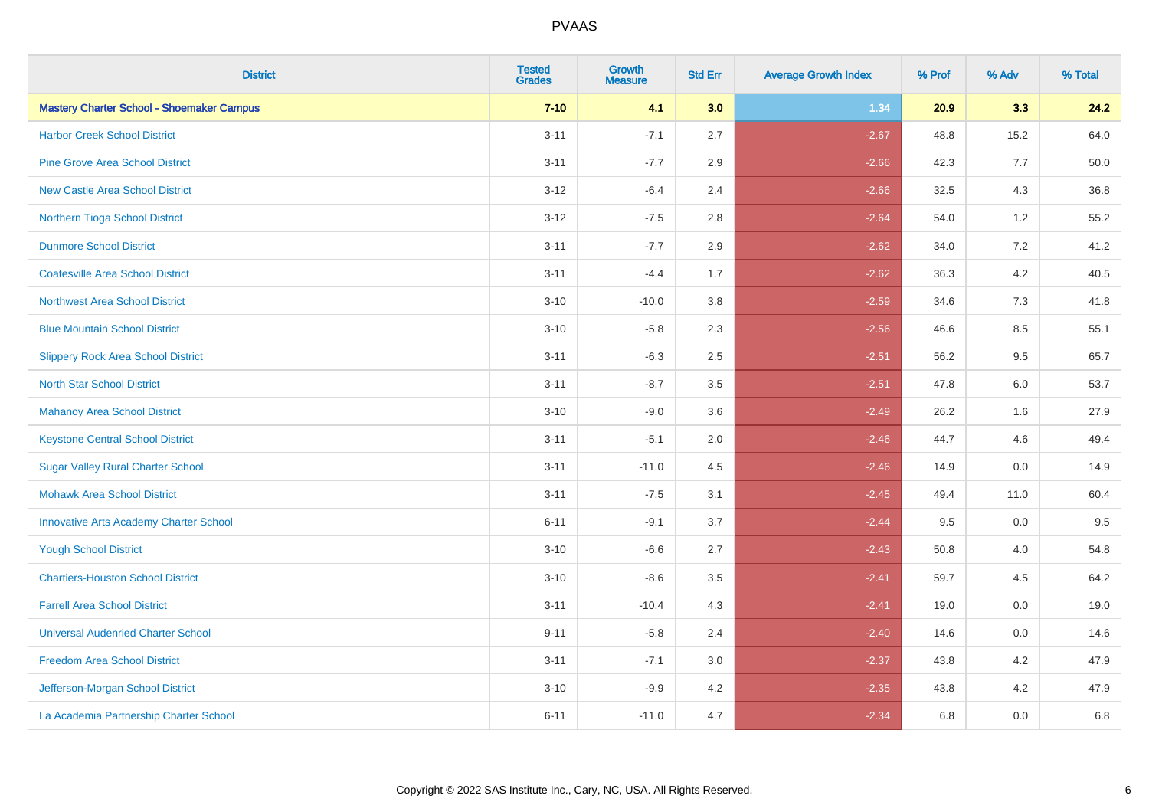| <b>District</b>                                  | <b>Tested</b><br><b>Grades</b> | <b>Growth</b><br><b>Measure</b> | <b>Std Err</b> | <b>Average Growth Index</b> | % Prof | % Adv   | % Total |
|--------------------------------------------------|--------------------------------|---------------------------------|----------------|-----------------------------|--------|---------|---------|
| <b>Mastery Charter School - Shoemaker Campus</b> | $7 - 10$                       | 4.1                             | 3.0            | 1.34                        | 20.9   | 3.3     | 24.2    |
| <b>Harbor Creek School District</b>              | $3 - 11$                       | $-7.1$                          | 2.7            | $-2.67$                     | 48.8   | 15.2    | 64.0    |
| <b>Pine Grove Area School District</b>           | $3 - 11$                       | $-7.7$                          | 2.9            | $-2.66$                     | 42.3   | 7.7     | 50.0    |
| <b>New Castle Area School District</b>           | $3 - 12$                       | $-6.4$                          | 2.4            | $-2.66$                     | 32.5   | 4.3     | 36.8    |
| Northern Tioga School District                   | $3 - 12$                       | $-7.5$                          | 2.8            | $-2.64$                     | 54.0   | 1.2     | 55.2    |
| <b>Dunmore School District</b>                   | $3 - 11$                       | $-7.7$                          | 2.9            | $-2.62$                     | 34.0   | 7.2     | 41.2    |
| <b>Coatesville Area School District</b>          | $3 - 11$                       | $-4.4$                          | 1.7            | $-2.62$                     | 36.3   | 4.2     | 40.5    |
| <b>Northwest Area School District</b>            | $3 - 10$                       | $-10.0$                         | 3.8            | $-2.59$                     | 34.6   | 7.3     | 41.8    |
| <b>Blue Mountain School District</b>             | $3 - 10$                       | $-5.8$                          | 2.3            | $-2.56$                     | 46.6   | 8.5     | 55.1    |
| <b>Slippery Rock Area School District</b>        | $3 - 11$                       | $-6.3$                          | 2.5            | $-2.51$                     | 56.2   | 9.5     | 65.7    |
| <b>North Star School District</b>                | $3 - 11$                       | $-8.7$                          | 3.5            | $-2.51$                     | 47.8   | 6.0     | 53.7    |
| <b>Mahanoy Area School District</b>              | $3 - 10$                       | $-9.0$                          | 3.6            | $-2.49$                     | 26.2   | 1.6     | 27.9    |
| <b>Keystone Central School District</b>          | $3 - 11$                       | $-5.1$                          | 2.0            | $-2.46$                     | 44.7   | 4.6     | 49.4    |
| <b>Sugar Valley Rural Charter School</b>         | $3 - 11$                       | $-11.0$                         | 4.5            | $-2.46$                     | 14.9   | 0.0     | 14.9    |
| <b>Mohawk Area School District</b>               | $3 - 11$                       | $-7.5$                          | 3.1            | $-2.45$                     | 49.4   | 11.0    | 60.4    |
| <b>Innovative Arts Academy Charter School</b>    | $6 - 11$                       | $-9.1$                          | 3.7            | $-2.44$                     | 9.5    | $0.0\,$ | 9.5     |
| <b>Yough School District</b>                     | $3 - 10$                       | $-6.6$                          | 2.7            | $-2.43$                     | 50.8   | 4.0     | 54.8    |
| <b>Chartiers-Houston School District</b>         | $3 - 10$                       | $-8.6$                          | 3.5            | $-2.41$                     | 59.7   | 4.5     | 64.2    |
| <b>Farrell Area School District</b>              | $3 - 11$                       | $-10.4$                         | 4.3            | $-2.41$                     | 19.0   | 0.0     | 19.0    |
| <b>Universal Audenried Charter School</b>        | $9 - 11$                       | $-5.8$                          | 2.4            | $-2.40$                     | 14.6   | 0.0     | 14.6    |
| <b>Freedom Area School District</b>              | $3 - 11$                       | $-7.1$                          | 3.0            | $-2.37$                     | 43.8   | 4.2     | 47.9    |
| Jefferson-Morgan School District                 | $3 - 10$                       | $-9.9$                          | 4.2            | $-2.35$                     | 43.8   | 4.2     | 47.9    |
| La Academia Partnership Charter School           | $6 - 11$                       | $-11.0$                         | 4.7            | $-2.34$                     | 6.8    | 0.0     | 6.8     |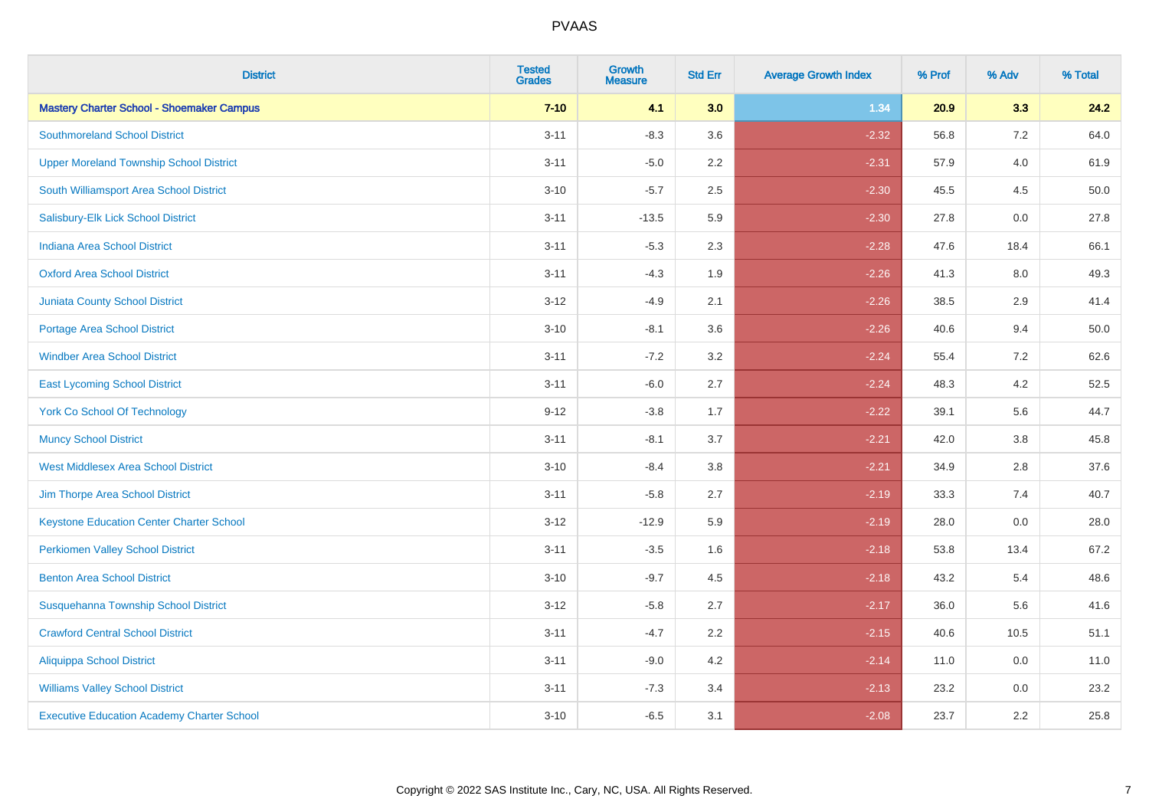| <b>District</b>                                   | <b>Tested</b><br><b>Grades</b> | <b>Growth</b><br><b>Measure</b> | <b>Std Err</b> | <b>Average Growth Index</b> | % Prof | % Adv   | % Total |
|---------------------------------------------------|--------------------------------|---------------------------------|----------------|-----------------------------|--------|---------|---------|
| <b>Mastery Charter School - Shoemaker Campus</b>  | $7 - 10$                       | 4.1                             | 3.0            | 1.34                        | 20.9   | 3.3     | 24.2    |
| <b>Southmoreland School District</b>              | $3 - 11$                       | $-8.3$                          | 3.6            | $-2.32$                     | 56.8   | $7.2\,$ | 64.0    |
| <b>Upper Moreland Township School District</b>    | $3 - 11$                       | $-5.0$                          | 2.2            | $-2.31$                     | 57.9   | 4.0     | 61.9    |
| South Williamsport Area School District           | $3 - 10$                       | $-5.7$                          | 2.5            | $-2.30$                     | 45.5   | 4.5     | 50.0    |
| Salisbury-Elk Lick School District                | $3 - 11$                       | $-13.5$                         | 5.9            | $-2.30$                     | 27.8   | 0.0     | 27.8    |
| Indiana Area School District                      | $3 - 11$                       | $-5.3$                          | 2.3            | $-2.28$                     | 47.6   | 18.4    | 66.1    |
| <b>Oxford Area School District</b>                | $3 - 11$                       | $-4.3$                          | 1.9            | $-2.26$                     | 41.3   | 8.0     | 49.3    |
| <b>Juniata County School District</b>             | $3 - 12$                       | $-4.9$                          | 2.1            | $-2.26$                     | 38.5   | 2.9     | 41.4    |
| <b>Portage Area School District</b>               | $3 - 10$                       | $-8.1$                          | 3.6            | $-2.26$                     | 40.6   | 9.4     | 50.0    |
| <b>Windber Area School District</b>               | $3 - 11$                       | $-7.2$                          | 3.2            | $-2.24$                     | 55.4   | 7.2     | 62.6    |
| <b>East Lycoming School District</b>              | $3 - 11$                       | $-6.0$                          | 2.7            | $-2.24$                     | 48.3   | 4.2     | 52.5    |
| <b>York Co School Of Technology</b>               | $9 - 12$                       | $-3.8$                          | 1.7            | $-2.22$                     | 39.1   | 5.6     | 44.7    |
| <b>Muncy School District</b>                      | $3 - 11$                       | $-8.1$                          | 3.7            | $-2.21$                     | 42.0   | $3.8\,$ | 45.8    |
| <b>West Middlesex Area School District</b>        | $3 - 10$                       | $-8.4$                          | $3.8\,$        | $-2.21$                     | 34.9   | 2.8     | 37.6    |
| Jim Thorpe Area School District                   | $3 - 11$                       | $-5.8$                          | 2.7            | $-2.19$                     | 33.3   | 7.4     | 40.7    |
| <b>Keystone Education Center Charter School</b>   | $3 - 12$                       | $-12.9$                         | 5.9            | $-2.19$                     | 28.0   | $0.0\,$ | 28.0    |
| <b>Perkiomen Valley School District</b>           | $3 - 11$                       | $-3.5$                          | 1.6            | $-2.18$                     | 53.8   | 13.4    | 67.2    |
| <b>Benton Area School District</b>                | $3 - 10$                       | $-9.7$                          | 4.5            | $-2.18$                     | 43.2   | 5.4     | 48.6    |
| Susquehanna Township School District              | $3 - 12$                       | $-5.8$                          | 2.7            | $-2.17$                     | 36.0   | 5.6     | 41.6    |
| <b>Crawford Central School District</b>           | $3 - 11$                       | $-4.7$                          | 2.2            | $-2.15$                     | 40.6   | 10.5    | 51.1    |
| <b>Aliquippa School District</b>                  | $3 - 11$                       | $-9.0$                          | 4.2            | $-2.14$                     | 11.0   | 0.0     | 11.0    |
| <b>Williams Valley School District</b>            | $3 - 11$                       | $-7.3$                          | 3.4            | $-2.13$                     | 23.2   | 0.0     | 23.2    |
| <b>Executive Education Academy Charter School</b> | $3 - 10$                       | $-6.5$                          | 3.1            | $-2.08$                     | 23.7   | 2.2     | 25.8    |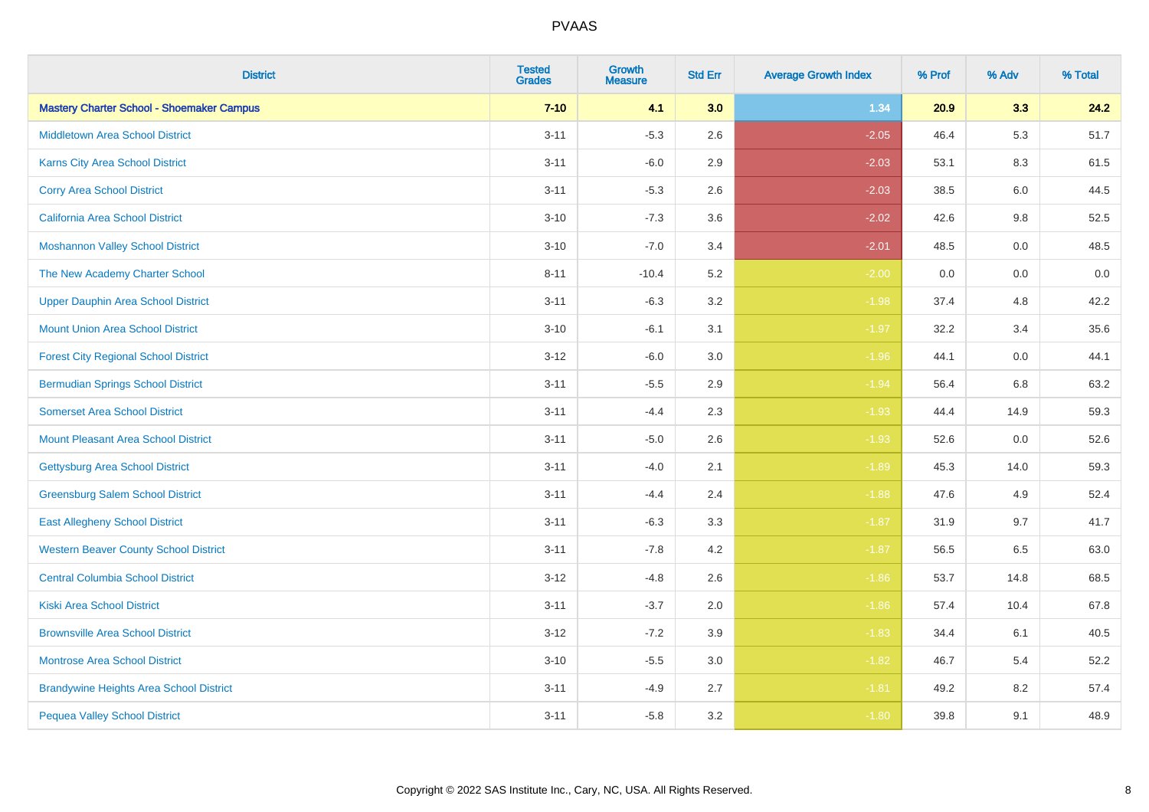| <b>District</b>                                  | <b>Tested</b><br><b>Grades</b> | Growth<br><b>Measure</b> | <b>Std Err</b> | <b>Average Growth Index</b> | % Prof | % Adv | % Total |
|--------------------------------------------------|--------------------------------|--------------------------|----------------|-----------------------------|--------|-------|---------|
| <b>Mastery Charter School - Shoemaker Campus</b> | $7 - 10$                       | 4.1                      | 3.0            | 1.34                        | 20.9   | 3.3   | 24.2    |
| <b>Middletown Area School District</b>           | $3 - 11$                       | $-5.3$                   | 2.6            | $-2.05$                     | 46.4   | 5.3   | 51.7    |
| Karns City Area School District                  | $3 - 11$                       | $-6.0$                   | 2.9            | $-2.03$                     | 53.1   | 8.3   | 61.5    |
| <b>Corry Area School District</b>                | $3 - 11$                       | $-5.3$                   | 2.6            | $-2.03$                     | 38.5   | 6.0   | 44.5    |
| <b>California Area School District</b>           | $3 - 10$                       | $-7.3$                   | 3.6            | $-2.02$                     | 42.6   | 9.8   | 52.5    |
| <b>Moshannon Valley School District</b>          | $3 - 10$                       | $-7.0$                   | 3.4            | $-2.01$                     | 48.5   | 0.0   | 48.5    |
| The New Academy Charter School                   | $8 - 11$                       | $-10.4$                  | 5.2            | $-2.00$                     | 0.0    | 0.0   | $0.0\,$ |
| <b>Upper Dauphin Area School District</b>        | $3 - 11$                       | $-6.3$                   | 3.2            | $-1.98$                     | 37.4   | 4.8   | 42.2    |
| <b>Mount Union Area School District</b>          | $3 - 10$                       | $-6.1$                   | 3.1            | $-1.97$                     | 32.2   | 3.4   | 35.6    |
| <b>Forest City Regional School District</b>      | $3 - 12$                       | $-6.0$                   | 3.0            | $-1.96$                     | 44.1   | 0.0   | 44.1    |
| <b>Bermudian Springs School District</b>         | $3 - 11$                       | $-5.5$                   | 2.9            | $-1.94$                     | 56.4   | 6.8   | 63.2    |
| <b>Somerset Area School District</b>             | $3 - 11$                       | $-4.4$                   | 2.3            | $-1.93$                     | 44.4   | 14.9  | 59.3    |
| <b>Mount Pleasant Area School District</b>       | $3 - 11$                       | $-5.0$                   | 2.6            | $-1.93$                     | 52.6   | 0.0   | 52.6    |
| <b>Gettysburg Area School District</b>           | $3 - 11$                       | $-4.0$                   | 2.1            | $-1.89$                     | 45.3   | 14.0  | 59.3    |
| <b>Greensburg Salem School District</b>          | $3 - 11$                       | $-4.4$                   | 2.4            | $-1.88$                     | 47.6   | 4.9   | 52.4    |
| <b>East Allegheny School District</b>            | $3 - 11$                       | $-6.3$                   | 3.3            | $-1.87$                     | 31.9   | 9.7   | 41.7    |
| <b>Western Beaver County School District</b>     | $3 - 11$                       | $-7.8$                   | 4.2            | $-1.87$                     | 56.5   | 6.5   | 63.0    |
| <b>Central Columbia School District</b>          | $3 - 12$                       | $-4.8$                   | 2.6            | $-1.86$                     | 53.7   | 14.8  | 68.5    |
| <b>Kiski Area School District</b>                | $3 - 11$                       | $-3.7$                   | 2.0            | $-1.86$                     | 57.4   | 10.4  | 67.8    |
| <b>Brownsville Area School District</b>          | $3 - 12$                       | $-7.2$                   | 3.9            | $-1.83$                     | 34.4   | 6.1   | 40.5    |
| <b>Montrose Area School District</b>             | $3 - 10$                       | $-5.5$                   | 3.0            | $-1.82$                     | 46.7   | 5.4   | 52.2    |
| <b>Brandywine Heights Area School District</b>   | $3 - 11$                       | $-4.9$                   | 2.7            | $-1.81$                     | 49.2   | 8.2   | 57.4    |
| <b>Pequea Valley School District</b>             | $3 - 11$                       | $-5.8$                   | 3.2            | $-1.80$                     | 39.8   | 9.1   | 48.9    |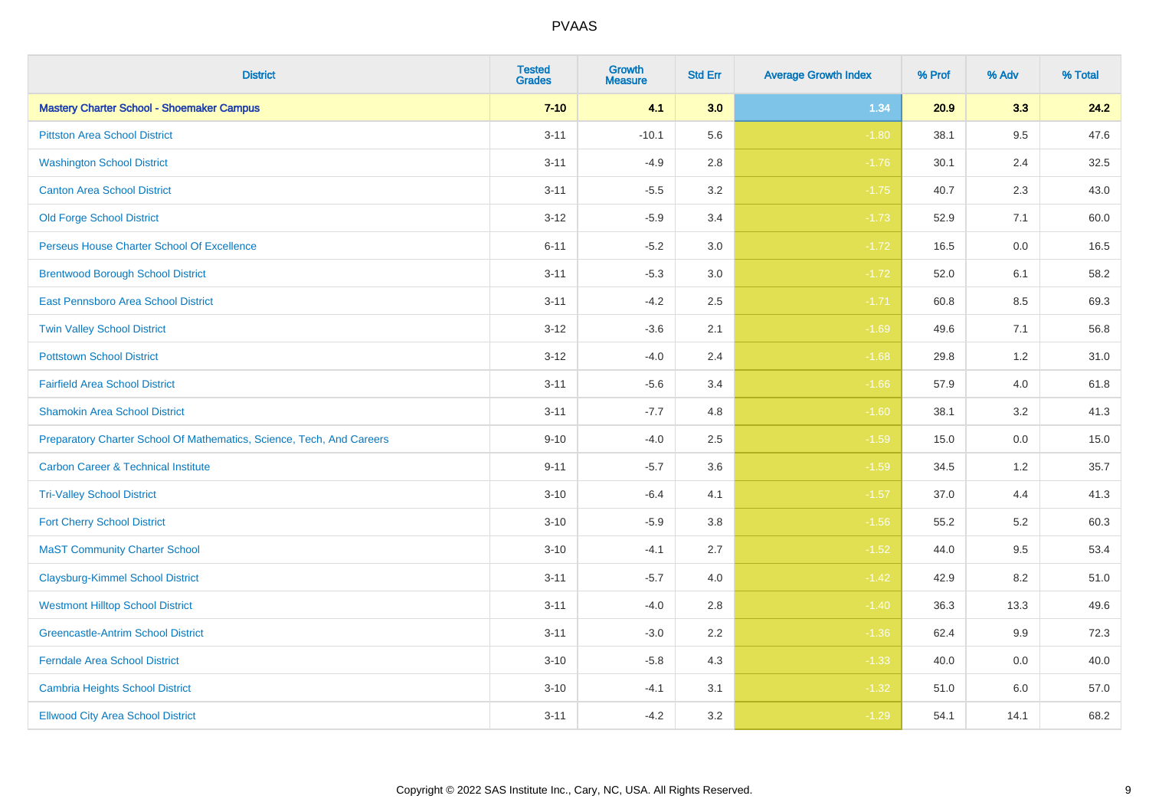| <b>District</b>                                                       | <b>Tested</b><br><b>Grades</b> | <b>Growth</b><br><b>Measure</b> | <b>Std Err</b> | <b>Average Growth Index</b> | % Prof | % Adv   | % Total |
|-----------------------------------------------------------------------|--------------------------------|---------------------------------|----------------|-----------------------------|--------|---------|---------|
| <b>Mastery Charter School - Shoemaker Campus</b>                      | $7 - 10$                       | 4.1                             | 3.0            | 1.34                        | 20.9   | 3.3     | 24.2    |
| <b>Pittston Area School District</b>                                  | $3 - 11$                       | $-10.1$                         | 5.6            | $-1.80$                     | 38.1   | 9.5     | 47.6    |
| <b>Washington School District</b>                                     | $3 - 11$                       | $-4.9$                          | 2.8            | $-1.76$                     | 30.1   | 2.4     | 32.5    |
| <b>Canton Area School District</b>                                    | $3 - 11$                       | $-5.5$                          | 3.2            | $-1.75$                     | 40.7   | 2.3     | 43.0    |
| <b>Old Forge School District</b>                                      | $3 - 12$                       | $-5.9$                          | 3.4            | $-1.73$                     | 52.9   | 7.1     | 60.0    |
| Perseus House Charter School Of Excellence                            | $6 - 11$                       | $-5.2$                          | 3.0            | $-1.72$                     | 16.5   | 0.0     | 16.5    |
| <b>Brentwood Borough School District</b>                              | $3 - 11$                       | $-5.3$                          | 3.0            | $-1.72$                     | 52.0   | 6.1     | 58.2    |
| East Pennsboro Area School District                                   | $3 - 11$                       | $-4.2$                          | 2.5            | $-1.71$                     | 60.8   | 8.5     | 69.3    |
| <b>Twin Valley School District</b>                                    | $3 - 12$                       | $-3.6$                          | 2.1            | $-1.69$                     | 49.6   | 7.1     | 56.8    |
| <b>Pottstown School District</b>                                      | $3 - 12$                       | $-4.0$                          | 2.4            | $-1.68$                     | 29.8   | 1.2     | 31.0    |
| <b>Fairfield Area School District</b>                                 | $3 - 11$                       | $-5.6$                          | 3.4            | $-1.66$                     | 57.9   | 4.0     | 61.8    |
| <b>Shamokin Area School District</b>                                  | $3 - 11$                       | $-7.7$                          | 4.8            | $-1.60$                     | 38.1   | 3.2     | 41.3    |
| Preparatory Charter School Of Mathematics, Science, Tech, And Careers | $9 - 10$                       | $-4.0$                          | 2.5            | $-1.59$                     | 15.0   | $0.0\,$ | 15.0    |
| <b>Carbon Career &amp; Technical Institute</b>                        | $9 - 11$                       | $-5.7$                          | 3.6            | $-1.59$                     | 34.5   | 1.2     | 35.7    |
| <b>Tri-Valley School District</b>                                     | $3 - 10$                       | $-6.4$                          | 4.1            | $-1.57$                     | 37.0   | 4.4     | 41.3    |
| <b>Fort Cherry School District</b>                                    | $3 - 10$                       | $-5.9$                          | 3.8            | $-1.56$                     | 55.2   | 5.2     | 60.3    |
| <b>MaST Community Charter School</b>                                  | $3 - 10$                       | $-4.1$                          | 2.7            | $-1.52$                     | 44.0   | 9.5     | 53.4    |
| <b>Claysburg-Kimmel School District</b>                               | $3 - 11$                       | $-5.7$                          | 4.0            | $-1.42$                     | 42.9   | 8.2     | 51.0    |
| <b>Westmont Hilltop School District</b>                               | $3 - 11$                       | $-4.0$                          | 2.8            | $-1.40$                     | 36.3   | 13.3    | 49.6    |
| <b>Greencastle-Antrim School District</b>                             | $3 - 11$                       | $-3.0$                          | 2.2            | $-1.36$                     | 62.4   | 9.9     | 72.3    |
| <b>Ferndale Area School District</b>                                  | $3 - 10$                       | $-5.8$                          | 4.3            | $-1.33$                     | 40.0   | 0.0     | 40.0    |
| Cambria Heights School District                                       | $3 - 10$                       | $-4.1$                          | 3.1            | $-1.32$                     | 51.0   | 6.0     | 57.0    |
| <b>Ellwood City Area School District</b>                              | $3 - 11$                       | $-4.2$                          | 3.2            | $-1.29$                     | 54.1   | 14.1    | 68.2    |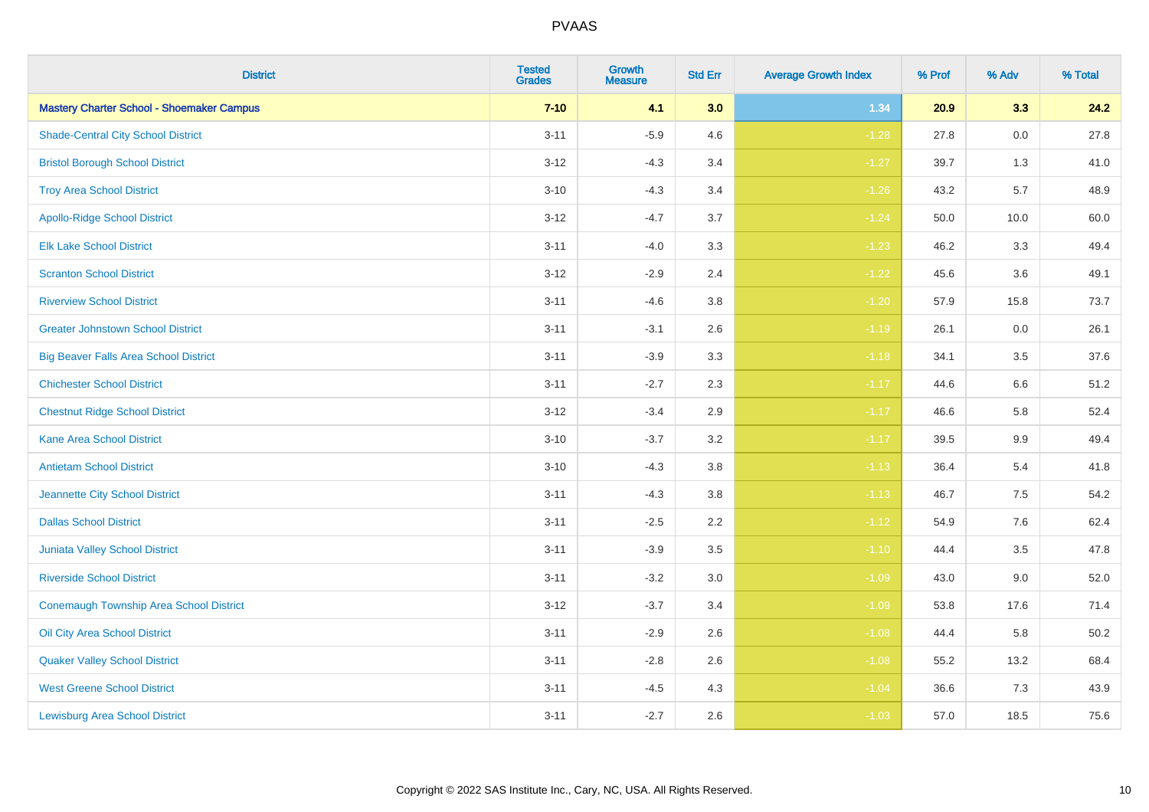| <b>District</b>                                  | <b>Tested</b><br><b>Grades</b> | <b>Growth</b><br><b>Measure</b> | <b>Std Err</b> | <b>Average Growth Index</b> | % Prof | % Adv   | % Total |
|--------------------------------------------------|--------------------------------|---------------------------------|----------------|-----------------------------|--------|---------|---------|
| <b>Mastery Charter School - Shoemaker Campus</b> | $7 - 10$                       | 4.1                             | 3.0            | 1.34                        | 20.9   | 3.3     | 24.2    |
| <b>Shade-Central City School District</b>        | $3 - 11$                       | $-5.9$                          | 4.6            | $-1.28$                     | 27.8   | $0.0\,$ | 27.8    |
| <b>Bristol Borough School District</b>           | $3 - 12$                       | $-4.3$                          | 3.4            | $-1.27$                     | 39.7   | 1.3     | 41.0    |
| <b>Troy Area School District</b>                 | $3 - 10$                       | $-4.3$                          | 3.4            | $-1.26$                     | 43.2   | 5.7     | 48.9    |
| <b>Apollo-Ridge School District</b>              | $3 - 12$                       | $-4.7$                          | 3.7            | $-1.24$                     | 50.0   | 10.0    | 60.0    |
| <b>Elk Lake School District</b>                  | $3 - 11$                       | $-4.0$                          | 3.3            | $-1.23$                     | 46.2   | 3.3     | 49.4    |
| <b>Scranton School District</b>                  | $3 - 12$                       | $-2.9$                          | 2.4            | $-1.22$                     | 45.6   | 3.6     | 49.1    |
| <b>Riverview School District</b>                 | $3 - 11$                       | $-4.6$                          | 3.8            | $-1.20$                     | 57.9   | 15.8    | 73.7    |
| <b>Greater Johnstown School District</b>         | $3 - 11$                       | $-3.1$                          | 2.6            | $-1.19$                     | 26.1   | 0.0     | 26.1    |
| <b>Big Beaver Falls Area School District</b>     | $3 - 11$                       | $-3.9$                          | 3.3            | $-1.18$                     | 34.1   | $3.5\,$ | 37.6    |
| <b>Chichester School District</b>                | $3 - 11$                       | $-2.7$                          | 2.3            | $-1.17$                     | 44.6   | 6.6     | 51.2    |
| <b>Chestnut Ridge School District</b>            | $3 - 12$                       | $-3.4$                          | 2.9            | $-1.17$                     | 46.6   | 5.8     | 52.4    |
| <b>Kane Area School District</b>                 | $3 - 10$                       | $-3.7$                          | 3.2            | $-1.17$                     | 39.5   | $9.9\,$ | 49.4    |
| <b>Antietam School District</b>                  | $3 - 10$                       | $-4.3$                          | 3.8            | $-1.13$                     | 36.4   | 5.4     | 41.8    |
| Jeannette City School District                   | $3 - 11$                       | $-4.3$                          | 3.8            | $-1.13$                     | 46.7   | 7.5     | 54.2    |
| <b>Dallas School District</b>                    | $3 - 11$                       | $-2.5$                          | 2.2            | $-1.12$                     | 54.9   | 7.6     | 62.4    |
| Juniata Valley School District                   | $3 - 11$                       | $-3.9$                          | 3.5            | $-1.10$                     | 44.4   | 3.5     | 47.8    |
| <b>Riverside School District</b>                 | $3 - 11$                       | $-3.2$                          | 3.0            | $-1.09$                     | 43.0   | 9.0     | 52.0    |
| <b>Conemaugh Township Area School District</b>   | $3 - 12$                       | $-3.7$                          | 3.4            | $-1.09$                     | 53.8   | 17.6    | 71.4    |
| Oil City Area School District                    | $3 - 11$                       | $-2.9$                          | 2.6            | $-1.08$                     | 44.4   | 5.8     | 50.2    |
| <b>Quaker Valley School District</b>             | $3 - 11$                       | $-2.8$                          | 2.6            | $-1.08$                     | 55.2   | 13.2    | 68.4    |
| <b>West Greene School District</b>               | $3 - 11$                       | $-4.5$                          | 4.3            | $-1.04$                     | 36.6   | 7.3     | 43.9    |
| <b>Lewisburg Area School District</b>            | $3 - 11$                       | $-2.7$                          | 2.6            | $-1.03$                     | 57.0   | 18.5    | 75.6    |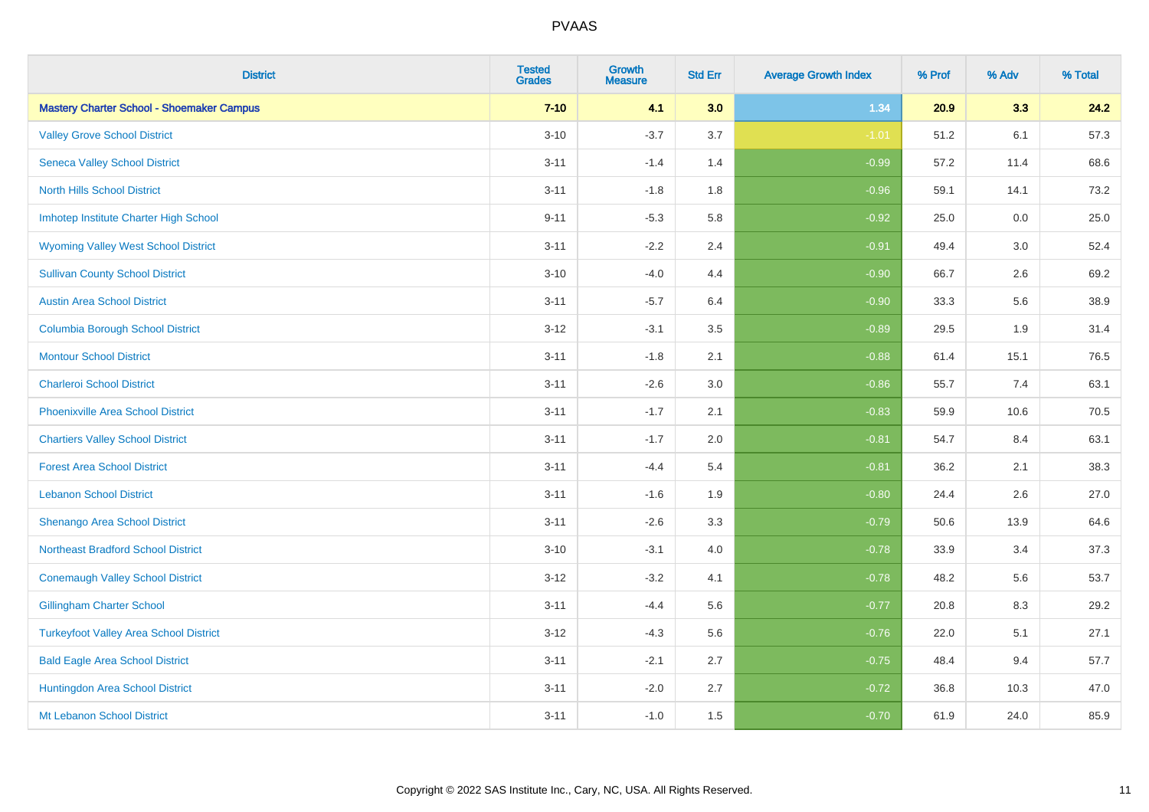| <b>District</b>                                  | <b>Tested</b><br><b>Grades</b> | <b>Growth</b><br><b>Measure</b> | <b>Std Err</b> | <b>Average Growth Index</b> | % Prof | % Adv | % Total |
|--------------------------------------------------|--------------------------------|---------------------------------|----------------|-----------------------------|--------|-------|---------|
| <b>Mastery Charter School - Shoemaker Campus</b> | $7 - 10$                       | 4.1                             | 3.0            | 1.34                        | 20.9   | 3.3   | 24.2    |
| <b>Valley Grove School District</b>              | $3 - 10$                       | $-3.7$                          | 3.7            | $-1.01$                     | 51.2   | 6.1   | 57.3    |
| <b>Seneca Valley School District</b>             | $3 - 11$                       | $-1.4$                          | 1.4            | $-0.99$                     | 57.2   | 11.4  | 68.6    |
| <b>North Hills School District</b>               | $3 - 11$                       | $-1.8$                          | 1.8            | $-0.96$                     | 59.1   | 14.1  | 73.2    |
| Imhotep Institute Charter High School            | $9 - 11$                       | $-5.3$                          | 5.8            | $-0.92$                     | 25.0   | 0.0   | 25.0    |
| <b>Wyoming Valley West School District</b>       | $3 - 11$                       | $-2.2$                          | 2.4            | $-0.91$                     | 49.4   | 3.0   | 52.4    |
| <b>Sullivan County School District</b>           | $3 - 10$                       | $-4.0$                          | 4.4            | $-0.90$                     | 66.7   | 2.6   | 69.2    |
| <b>Austin Area School District</b>               | $3 - 11$                       | $-5.7$                          | 6.4            | $-0.90$                     | 33.3   | 5.6   | 38.9    |
| <b>Columbia Borough School District</b>          | $3 - 12$                       | $-3.1$                          | 3.5            | $-0.89$                     | 29.5   | 1.9   | 31.4    |
| <b>Montour School District</b>                   | $3 - 11$                       | $-1.8$                          | 2.1            | $-0.88$                     | 61.4   | 15.1  | 76.5    |
| <b>Charleroi School District</b>                 | $3 - 11$                       | $-2.6$                          | 3.0            | $-0.86$                     | 55.7   | 7.4   | 63.1    |
| <b>Phoenixville Area School District</b>         | $3 - 11$                       | $-1.7$                          | 2.1            | $-0.83$                     | 59.9   | 10.6  | 70.5    |
| <b>Chartiers Valley School District</b>          | $3 - 11$                       | $-1.7$                          | 2.0            | $-0.81$                     | 54.7   | 8.4   | 63.1    |
| <b>Forest Area School District</b>               | $3 - 11$                       | $-4.4$                          | 5.4            | $-0.81$                     | 36.2   | 2.1   | 38.3    |
| <b>Lebanon School District</b>                   | $3 - 11$                       | $-1.6$                          | 1.9            | $-0.80$                     | 24.4   | 2.6   | 27.0    |
| Shenango Area School District                    | $3 - 11$                       | $-2.6$                          | 3.3            | $-0.79$                     | 50.6   | 13.9  | 64.6    |
| <b>Northeast Bradford School District</b>        | $3 - 10$                       | $-3.1$                          | 4.0            | $-0.78$                     | 33.9   | 3.4   | 37.3    |
| <b>Conemaugh Valley School District</b>          | $3 - 12$                       | $-3.2$                          | 4.1            | $-0.78$                     | 48.2   | 5.6   | 53.7    |
| <b>Gillingham Charter School</b>                 | $3 - 11$                       | $-4.4$                          | 5.6            | $-0.77$                     | 20.8   | 8.3   | 29.2    |
| <b>Turkeyfoot Valley Area School District</b>    | $3 - 12$                       | $-4.3$                          | 5.6            | $-0.76$                     | 22.0   | 5.1   | 27.1    |
| <b>Bald Eagle Area School District</b>           | $3 - 11$                       | $-2.1$                          | 2.7            | $-0.75$                     | 48.4   | 9.4   | 57.7    |
| Huntingdon Area School District                  | $3 - 11$                       | $-2.0$                          | 2.7            | $-0.72$                     | 36.8   | 10.3  | 47.0    |
| Mt Lebanon School District                       | $3 - 11$                       | $-1.0$                          | 1.5            | $-0.70$                     | 61.9   | 24.0  | 85.9    |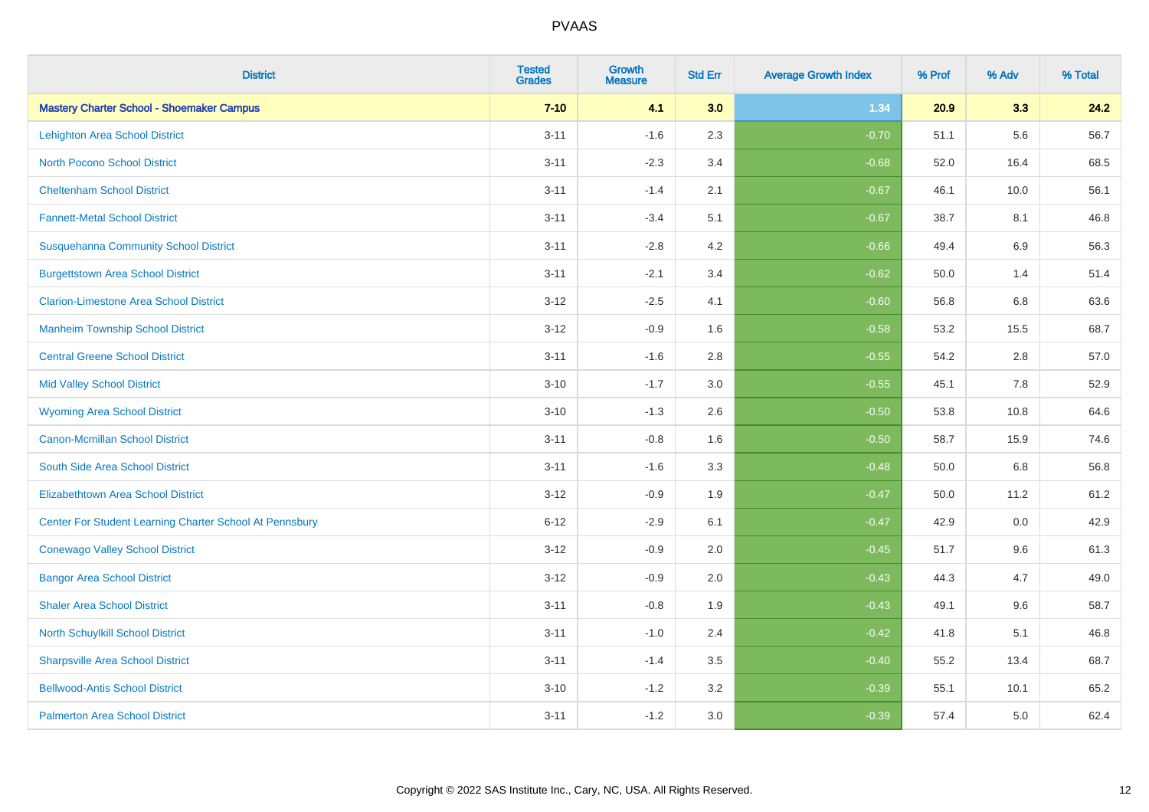| <b>District</b>                                         | <b>Tested</b><br><b>Grades</b> | <b>Growth</b><br><b>Measure</b> | <b>Std Err</b> | <b>Average Growth Index</b> | % Prof | % Adv   | % Total |
|---------------------------------------------------------|--------------------------------|---------------------------------|----------------|-----------------------------|--------|---------|---------|
| <b>Mastery Charter School - Shoemaker Campus</b>        | $7 - 10$                       | 4.1                             | 3.0            | 1.34                        | 20.9   | 3.3     | 24.2    |
| <b>Lehighton Area School District</b>                   | $3 - 11$                       | $-1.6$                          | 2.3            | $-0.70$                     | 51.1   | 5.6     | 56.7    |
| <b>North Pocono School District</b>                     | $3 - 11$                       | $-2.3$                          | 3.4            | $-0.68$                     | 52.0   | 16.4    | 68.5    |
| <b>Cheltenham School District</b>                       | $3 - 11$                       | $-1.4$                          | 2.1            | $-0.67$                     | 46.1   | 10.0    | 56.1    |
| <b>Fannett-Metal School District</b>                    | $3 - 11$                       | $-3.4$                          | 5.1            | $-0.67$                     | 38.7   | 8.1     | 46.8    |
| <b>Susquehanna Community School District</b>            | $3 - 11$                       | $-2.8$                          | 4.2            | $-0.66$                     | 49.4   | 6.9     | 56.3    |
| <b>Burgettstown Area School District</b>                | $3 - 11$                       | $-2.1$                          | 3.4            | $-0.62$                     | 50.0   | 1.4     | 51.4    |
| <b>Clarion-Limestone Area School District</b>           | $3 - 12$                       | $-2.5$                          | 4.1            | $-0.60$                     | 56.8   | 6.8     | 63.6    |
| <b>Manheim Township School District</b>                 | $3 - 12$                       | $-0.9$                          | 1.6            | $-0.58$                     | 53.2   | 15.5    | 68.7    |
| <b>Central Greene School District</b>                   | $3 - 11$                       | $-1.6$                          | 2.8            | $-0.55$                     | 54.2   | $2.8\,$ | 57.0    |
| <b>Mid Valley School District</b>                       | $3 - 10$                       | $-1.7$                          | 3.0            | $-0.55$                     | 45.1   | 7.8     | 52.9    |
| <b>Wyoming Area School District</b>                     | $3 - 10$                       | $-1.3$                          | 2.6            | $-0.50$                     | 53.8   | 10.8    | 64.6    |
| <b>Canon-Mcmillan School District</b>                   | $3 - 11$                       | $-0.8$                          | 1.6            | $-0.50$                     | 58.7   | 15.9    | 74.6    |
| South Side Area School District                         | $3 - 11$                       | $-1.6$                          | 3.3            | $-0.48$                     | 50.0   | 6.8     | 56.8    |
| <b>Elizabethtown Area School District</b>               | $3 - 12$                       | $-0.9$                          | 1.9            | $-0.47$                     | 50.0   | 11.2    | 61.2    |
| Center For Student Learning Charter School At Pennsbury | $6 - 12$                       | $-2.9$                          | 6.1            | $-0.47$                     | 42.9   | 0.0     | 42.9    |
| <b>Conewago Valley School District</b>                  | $3 - 12$                       | $-0.9$                          | 2.0            | $-0.45$                     | 51.7   | 9.6     | 61.3    |
| <b>Bangor Area School District</b>                      | $3 - 12$                       | $-0.9$                          | 2.0            | $-0.43$                     | 44.3   | 4.7     | 49.0    |
| <b>Shaler Area School District</b>                      | $3 - 11$                       | $-0.8$                          | 1.9            | $-0.43$                     | 49.1   | 9.6     | 58.7    |
| North Schuylkill School District                        | $3 - 11$                       | $-1.0$                          | 2.4            | $-0.42$                     | 41.8   | 5.1     | 46.8    |
| <b>Sharpsville Area School District</b>                 | $3 - 11$                       | $-1.4$                          | 3.5            | $-0.40$                     | 55.2   | 13.4    | 68.7    |
| <b>Bellwood-Antis School District</b>                   | $3 - 10$                       | $-1.2$                          | 3.2            | $-0.39$                     | 55.1   | 10.1    | 65.2    |
| <b>Palmerton Area School District</b>                   | $3 - 11$                       | $-1.2$                          | 3.0            | $-0.39$                     | 57.4   | 5.0     | 62.4    |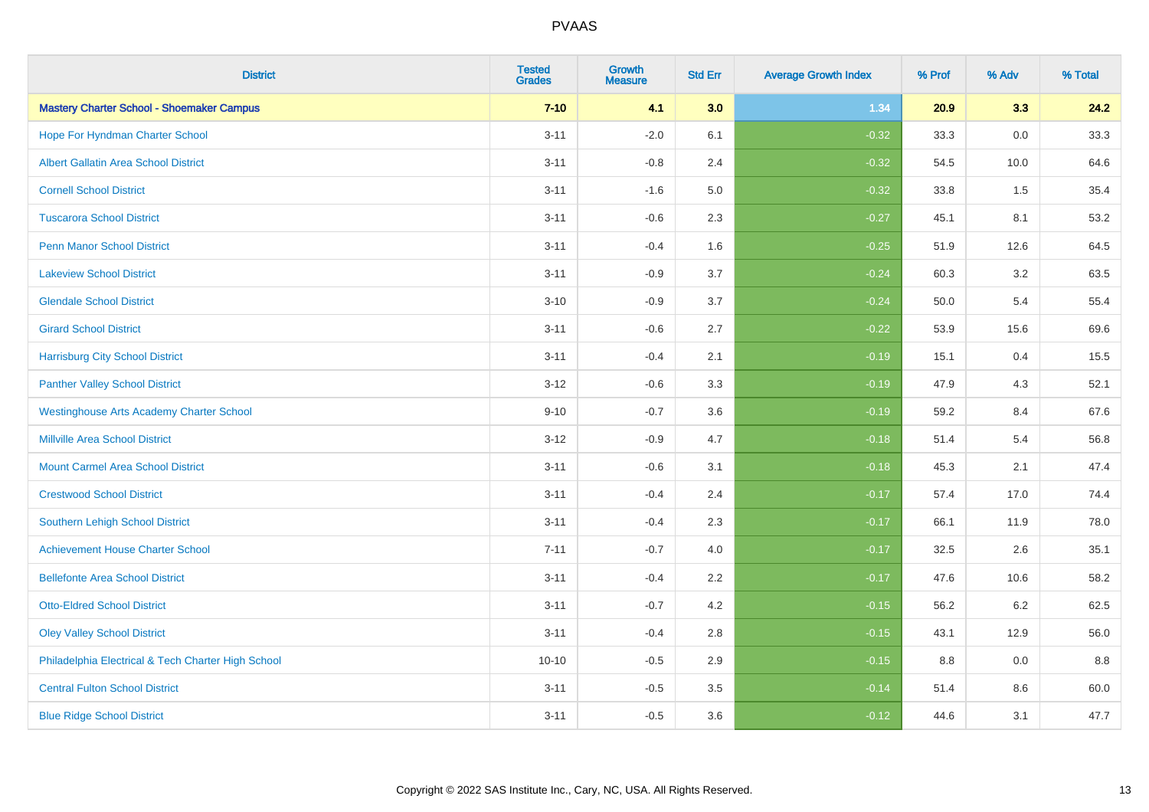| <b>District</b>                                    | <b>Tested</b><br><b>Grades</b> | <b>Growth</b><br><b>Measure</b> | <b>Std Err</b> | <b>Average Growth Index</b> | % Prof | % Adv   | % Total |
|----------------------------------------------------|--------------------------------|---------------------------------|----------------|-----------------------------|--------|---------|---------|
| <b>Mastery Charter School - Shoemaker Campus</b>   | $7 - 10$                       | 4.1                             | 3.0            | 1.34                        | 20.9   | 3.3     | 24.2    |
| Hope For Hyndman Charter School                    | $3 - 11$                       | $-2.0$                          | 6.1            | $-0.32$                     | 33.3   | 0.0     | 33.3    |
| <b>Albert Gallatin Area School District</b>        | $3 - 11$                       | $-0.8$                          | 2.4            | $-0.32$                     | 54.5   | 10.0    | 64.6    |
| <b>Cornell School District</b>                     | $3 - 11$                       | $-1.6$                          | 5.0            | $-0.32$                     | 33.8   | 1.5     | 35.4    |
| <b>Tuscarora School District</b>                   | $3 - 11$                       | $-0.6$                          | 2.3            | $-0.27$                     | 45.1   | 8.1     | 53.2    |
| <b>Penn Manor School District</b>                  | $3 - 11$                       | $-0.4$                          | 1.6            | $-0.25$                     | 51.9   | 12.6    | 64.5    |
| <b>Lakeview School District</b>                    | $3 - 11$                       | $-0.9$                          | 3.7            | $-0.24$                     | 60.3   | 3.2     | 63.5    |
| <b>Glendale School District</b>                    | $3 - 10$                       | $-0.9$                          | 3.7            | $-0.24$                     | 50.0   | 5.4     | 55.4    |
| <b>Girard School District</b>                      | $3 - 11$                       | $-0.6$                          | 2.7            | $-0.22$                     | 53.9   | 15.6    | 69.6    |
| <b>Harrisburg City School District</b>             | $3 - 11$                       | $-0.4$                          | 2.1            | $-0.19$                     | 15.1   | 0.4     | 15.5    |
| <b>Panther Valley School District</b>              | $3 - 12$                       | $-0.6$                          | 3.3            | $-0.19$                     | 47.9   | 4.3     | 52.1    |
| <b>Westinghouse Arts Academy Charter School</b>    | $9 - 10$                       | $-0.7$                          | 3.6            | $-0.19$                     | 59.2   | 8.4     | 67.6    |
| <b>Millville Area School District</b>              | $3 - 12$                       | $-0.9$                          | 4.7            | $-0.18$                     | 51.4   | 5.4     | 56.8    |
| <b>Mount Carmel Area School District</b>           | $3 - 11$                       | $-0.6$                          | 3.1            | $-0.18$                     | 45.3   | 2.1     | 47.4    |
| <b>Crestwood School District</b>                   | $3 - 11$                       | $-0.4$                          | 2.4            | $-0.17$                     | 57.4   | 17.0    | 74.4    |
| Southern Lehigh School District                    | $3 - 11$                       | $-0.4$                          | 2.3            | $-0.17$                     | 66.1   | 11.9    | 78.0    |
| <b>Achievement House Charter School</b>            | $7 - 11$                       | $-0.7$                          | 4.0            | $-0.17$                     | 32.5   | 2.6     | 35.1    |
| <b>Bellefonte Area School District</b>             | $3 - 11$                       | $-0.4$                          | 2.2            | $-0.17$                     | 47.6   | 10.6    | 58.2    |
| <b>Otto-Eldred School District</b>                 | $3 - 11$                       | $-0.7$                          | 4.2            | $-0.15$                     | 56.2   | $6.2\,$ | 62.5    |
| <b>Oley Valley School District</b>                 | $3 - 11$                       | $-0.4$                          | 2.8            | $-0.15$                     | 43.1   | 12.9    | 56.0    |
| Philadelphia Electrical & Tech Charter High School | $10 - 10$                      | $-0.5$                          | 2.9            | $-0.15$                     | 8.8    | 0.0     | 8.8     |
| <b>Central Fulton School District</b>              | $3 - 11$                       | $-0.5$                          | 3.5            | $-0.14$                     | 51.4   | 8.6     | 60.0    |
| <b>Blue Ridge School District</b>                  | $3 - 11$                       | $-0.5$                          | 3.6            | $-0.12$                     | 44.6   | 3.1     | 47.7    |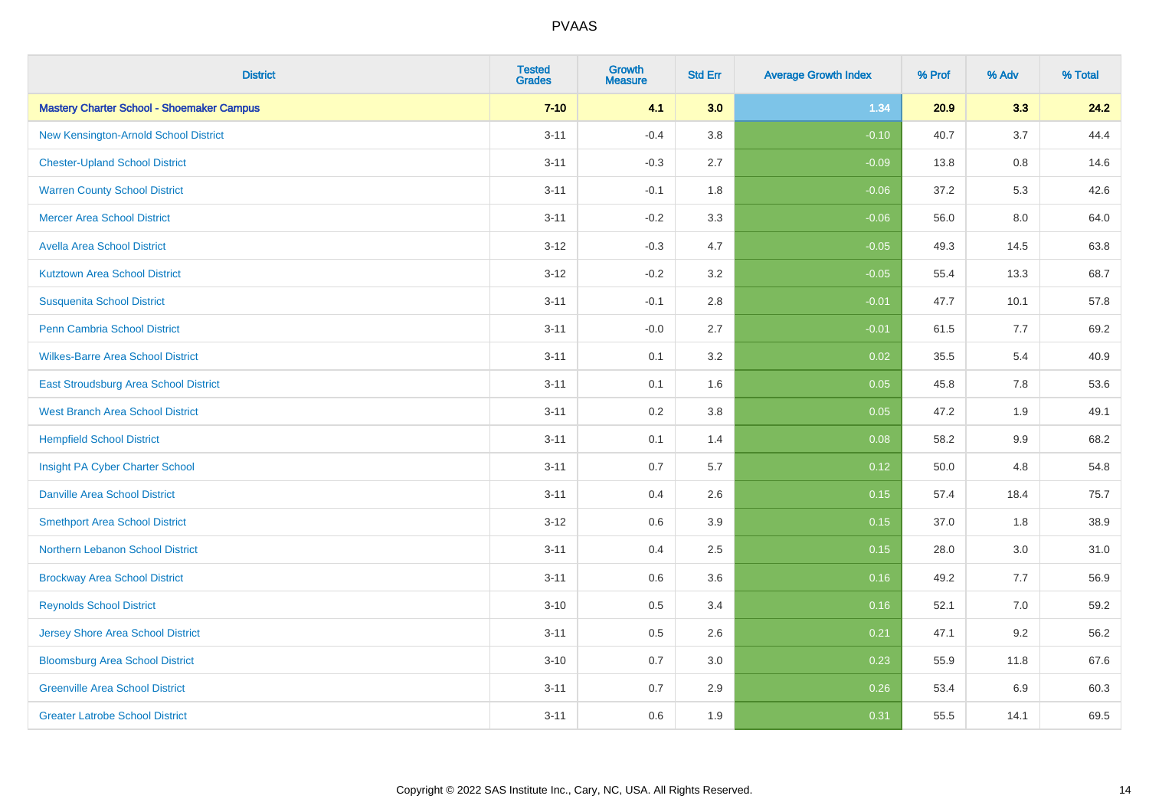| <b>District</b>                                  | <b>Tested</b><br><b>Grades</b> | Growth<br><b>Measure</b> | <b>Std Err</b> | <b>Average Growth Index</b> | % Prof | % Adv | % Total |
|--------------------------------------------------|--------------------------------|--------------------------|----------------|-----------------------------|--------|-------|---------|
| <b>Mastery Charter School - Shoemaker Campus</b> | $7 - 10$                       | 4.1                      | 3.0            | 1.34                        | 20.9   | 3.3   | 24.2    |
| New Kensington-Arnold School District            | $3 - 11$                       | $-0.4$                   | 3.8            | $-0.10$                     | 40.7   | 3.7   | 44.4    |
| <b>Chester-Upland School District</b>            | $3 - 11$                       | $-0.3$                   | 2.7            | $-0.09$                     | 13.8   | 0.8   | 14.6    |
| <b>Warren County School District</b>             | $3 - 11$                       | $-0.1$                   | 1.8            | $-0.06$                     | 37.2   | 5.3   | 42.6    |
| <b>Mercer Area School District</b>               | $3 - 11$                       | $-0.2$                   | 3.3            | $-0.06$                     | 56.0   | 8.0   | 64.0    |
| <b>Avella Area School District</b>               | $3 - 12$                       | $-0.3$                   | 4.7            | $-0.05$                     | 49.3   | 14.5  | 63.8    |
| <b>Kutztown Area School District</b>             | $3 - 12$                       | $-0.2$                   | 3.2            | $-0.05$                     | 55.4   | 13.3  | 68.7    |
| <b>Susquenita School District</b>                | $3 - 11$                       | $-0.1$                   | 2.8            | $-0.01$                     | 47.7   | 10.1  | 57.8    |
| <b>Penn Cambria School District</b>              | $3 - 11$                       | $-0.0$                   | 2.7            | $-0.01$                     | 61.5   | 7.7   | 69.2    |
| <b>Wilkes-Barre Area School District</b>         | $3 - 11$                       | 0.1                      | 3.2            | 0.02                        | 35.5   | 5.4   | 40.9    |
| East Stroudsburg Area School District            | $3 - 11$                       | 0.1                      | 1.6            | 0.05                        | 45.8   | 7.8   | 53.6    |
| <b>West Branch Area School District</b>          | $3 - 11$                       | 0.2                      | 3.8            | 0.05                        | 47.2   | 1.9   | 49.1    |
| <b>Hempfield School District</b>                 | $3 - 11$                       | 0.1                      | 1.4            | 0.08                        | 58.2   | 9.9   | 68.2    |
| Insight PA Cyber Charter School                  | $3 - 11$                       | 0.7                      | 5.7            | 0.12                        | 50.0   | 4.8   | 54.8    |
| <b>Danville Area School District</b>             | $3 - 11$                       | 0.4                      | 2.6            | 0.15                        | 57.4   | 18.4  | 75.7    |
| <b>Smethport Area School District</b>            | $3 - 12$                       | 0.6                      | 3.9            | 0.15                        | 37.0   | 1.8   | 38.9    |
| Northern Lebanon School District                 | $3 - 11$                       | 0.4                      | 2.5            | 0.15                        | 28.0   | 3.0   | 31.0    |
| <b>Brockway Area School District</b>             | $3 - 11$                       | 0.6                      | 3.6            | 0.16                        | 49.2   | 7.7   | 56.9    |
| <b>Reynolds School District</b>                  | $3 - 10$                       | 0.5                      | 3.4            | 0.16                        | 52.1   | 7.0   | 59.2    |
| <b>Jersey Shore Area School District</b>         | $3 - 11$                       | 0.5                      | 2.6            | 0.21                        | 47.1   | 9.2   | 56.2    |
| <b>Bloomsburg Area School District</b>           | $3 - 10$                       | 0.7                      | 3.0            | 0.23                        | 55.9   | 11.8  | 67.6    |
| <b>Greenville Area School District</b>           | $3 - 11$                       | 0.7                      | 2.9            | 0.26                        | 53.4   | 6.9   | 60.3    |
| <b>Greater Latrobe School District</b>           | $3 - 11$                       | 0.6                      | 1.9            | 0.31                        | 55.5   | 14.1  | 69.5    |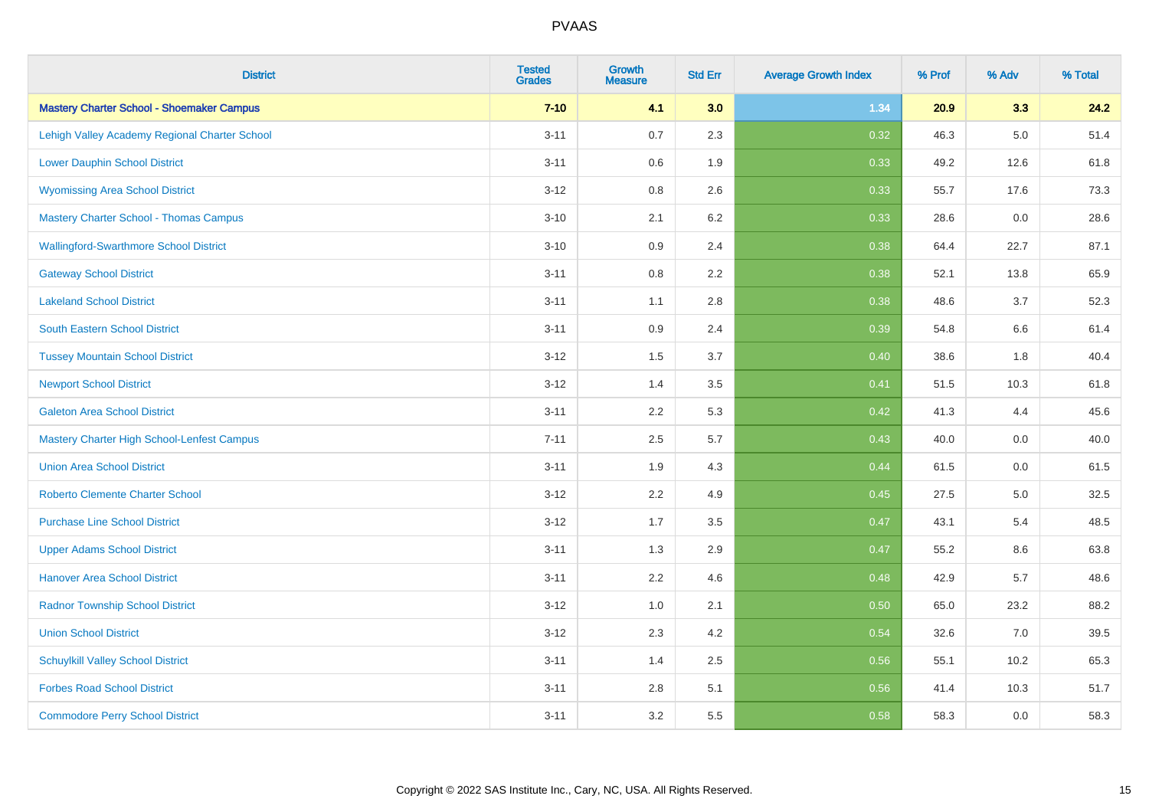| <b>District</b>                                   | <b>Tested</b><br><b>Grades</b> | <b>Growth</b><br><b>Measure</b> | <b>Std Err</b> | <b>Average Growth Index</b> | % Prof | % Adv   | % Total |
|---------------------------------------------------|--------------------------------|---------------------------------|----------------|-----------------------------|--------|---------|---------|
| <b>Mastery Charter School - Shoemaker Campus</b>  | $7 - 10$                       | 4.1                             | 3.0            | 1.34                        | 20.9   | 3.3     | 24.2    |
| Lehigh Valley Academy Regional Charter School     | $3 - 11$                       | 0.7                             | 2.3            | 0.32                        | 46.3   | $5.0\,$ | 51.4    |
| <b>Lower Dauphin School District</b>              | $3 - 11$                       | 0.6                             | 1.9            | 0.33                        | 49.2   | 12.6    | 61.8    |
| <b>Wyomissing Area School District</b>            | $3 - 12$                       | 0.8                             | 2.6            | 0.33                        | 55.7   | 17.6    | 73.3    |
| <b>Mastery Charter School - Thomas Campus</b>     | $3 - 10$                       | 2.1                             | 6.2            | 0.33                        | 28.6   | 0.0     | 28.6    |
| <b>Wallingford-Swarthmore School District</b>     | $3 - 10$                       | 0.9                             | 2.4            | 0.38                        | 64.4   | 22.7    | 87.1    |
| <b>Gateway School District</b>                    | $3 - 11$                       | 0.8                             | 2.2            | 0.38                        | 52.1   | 13.8    | 65.9    |
| <b>Lakeland School District</b>                   | $3 - 11$                       | 1.1                             | 2.8            | 0.38                        | 48.6   | 3.7     | 52.3    |
| South Eastern School District                     | $3 - 11$                       | 0.9                             | 2.4            | 0.39                        | 54.8   | 6.6     | 61.4    |
| <b>Tussey Mountain School District</b>            | $3 - 12$                       | 1.5                             | 3.7            | 0.40                        | 38.6   | 1.8     | 40.4    |
| <b>Newport School District</b>                    | $3 - 12$                       | 1.4                             | 3.5            | 0.41                        | 51.5   | 10.3    | 61.8    |
| <b>Galeton Area School District</b>               | $3 - 11$                       | 2.2                             | 5.3            | 0.42                        | 41.3   | 4.4     | 45.6    |
| <b>Mastery Charter High School-Lenfest Campus</b> | $7 - 11$                       | 2.5                             | 5.7            | 0.43                        | 40.0   | 0.0     | 40.0    |
| <b>Union Area School District</b>                 | $3 - 11$                       | 1.9                             | 4.3            | 0.44                        | 61.5   | 0.0     | 61.5    |
| <b>Roberto Clemente Charter School</b>            | $3 - 12$                       | 2.2                             | 4.9            | 0.45                        | 27.5   | 5.0     | 32.5    |
| <b>Purchase Line School District</b>              | $3 - 12$                       | 1.7                             | 3.5            | 0.47                        | 43.1   | 5.4     | 48.5    |
| <b>Upper Adams School District</b>                | $3 - 11$                       | 1.3                             | 2.9            | 0.47                        | 55.2   | 8.6     | 63.8    |
| <b>Hanover Area School District</b>               | $3 - 11$                       | 2.2                             | 4.6            | 0.48                        | 42.9   | 5.7     | 48.6    |
| <b>Radnor Township School District</b>            | $3 - 12$                       | 1.0                             | 2.1            | 0.50                        | 65.0   | 23.2    | 88.2    |
| <b>Union School District</b>                      | $3 - 12$                       | 2.3                             | 4.2            | 0.54                        | 32.6   | 7.0     | 39.5    |
| <b>Schuylkill Valley School District</b>          | $3 - 11$                       | 1.4                             | 2.5            | 0.56                        | 55.1   | 10.2    | 65.3    |
| <b>Forbes Road School District</b>                | $3 - 11$                       | 2.8                             | 5.1            | 0.56                        | 41.4   | 10.3    | 51.7    |
| <b>Commodore Perry School District</b>            | $3 - 11$                       | 3.2                             | 5.5            | 0.58                        | 58.3   | 0.0     | 58.3    |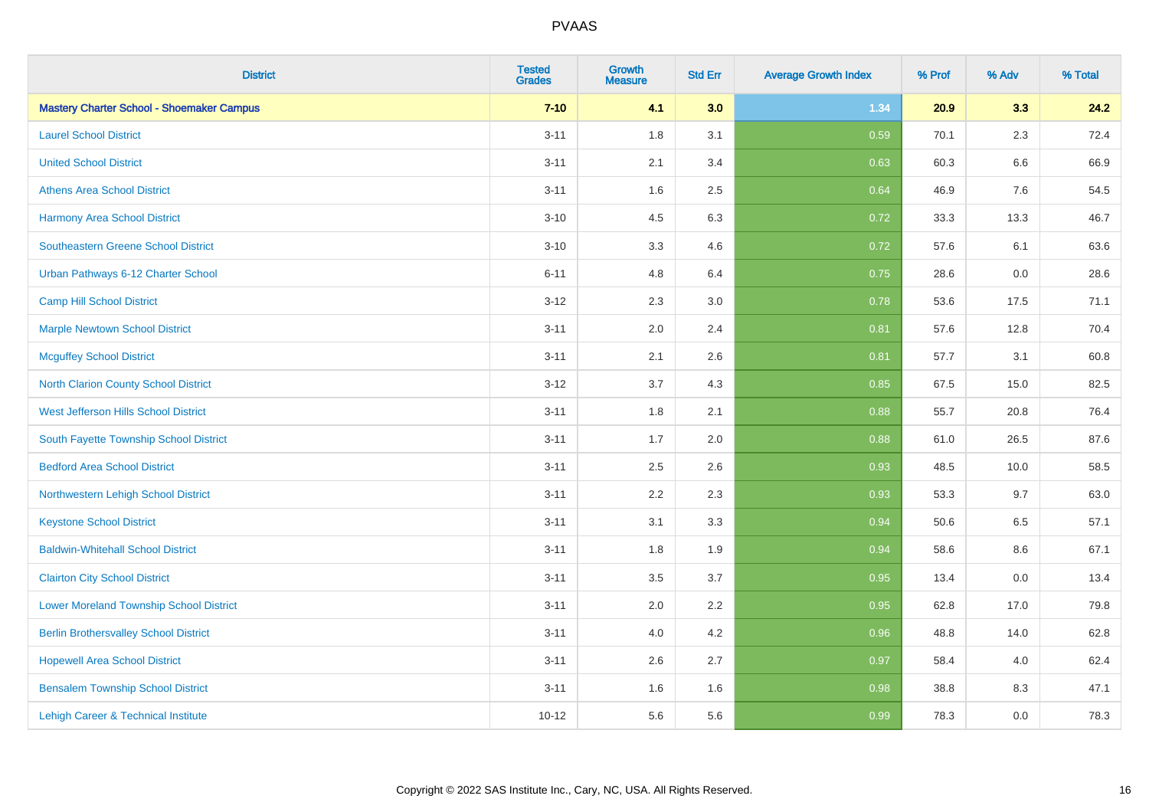| <b>District</b>                                  | <b>Tested</b><br><b>Grades</b> | Growth<br><b>Measure</b> | <b>Std Err</b> | <b>Average Growth Index</b> | % Prof | % Adv   | % Total |
|--------------------------------------------------|--------------------------------|--------------------------|----------------|-----------------------------|--------|---------|---------|
| <b>Mastery Charter School - Shoemaker Campus</b> | $7 - 10$                       | 4.1                      | 3.0            | 1.34                        | 20.9   | 3.3     | 24.2    |
| <b>Laurel School District</b>                    | $3 - 11$                       | 1.8                      | 3.1            | 0.59                        | 70.1   | 2.3     | 72.4    |
| <b>United School District</b>                    | $3 - 11$                       | 2.1                      | 3.4            | 0.63                        | 60.3   | 6.6     | 66.9    |
| <b>Athens Area School District</b>               | $3 - 11$                       | 1.6                      | 2.5            | 0.64                        | 46.9   | 7.6     | 54.5    |
| <b>Harmony Area School District</b>              | $3 - 10$                       | 4.5                      | 6.3            | 0.72                        | 33.3   | 13.3    | 46.7    |
| <b>Southeastern Greene School District</b>       | $3 - 10$                       | 3.3                      | 4.6            | 0.72                        | 57.6   | 6.1     | 63.6    |
| Urban Pathways 6-12 Charter School               | $6 - 11$                       | 4.8                      | 6.4            | 0.75                        | 28.6   | 0.0     | 28.6    |
| <b>Camp Hill School District</b>                 | $3 - 12$                       | 2.3                      | 3.0            | 0.78                        | 53.6   | 17.5    | 71.1    |
| <b>Marple Newtown School District</b>            | $3 - 11$                       | 2.0                      | 2.4            | 0.81                        | 57.6   | 12.8    | 70.4    |
| <b>Mcguffey School District</b>                  | $3 - 11$                       | 2.1                      | 2.6            | 0.81                        | 57.7   | 3.1     | 60.8    |
| North Clarion County School District             | $3 - 12$                       | 3.7                      | 4.3            | 0.85                        | 67.5   | 15.0    | 82.5    |
| West Jefferson Hills School District             | $3 - 11$                       | 1.8                      | 2.1            | 0.88                        | 55.7   | 20.8    | 76.4    |
| South Fayette Township School District           | $3 - 11$                       | 1.7                      | 2.0            | 0.88                        | 61.0   | 26.5    | 87.6    |
| <b>Bedford Area School District</b>              | $3 - 11$                       | 2.5                      | 2.6            | 0.93                        | 48.5   | 10.0    | 58.5    |
| Northwestern Lehigh School District              | $3 - 11$                       | 2.2                      | 2.3            | 0.93                        | 53.3   | 9.7     | 63.0    |
| <b>Keystone School District</b>                  | $3 - 11$                       | 3.1                      | 3.3            | 0.94                        | 50.6   | $6.5\,$ | 57.1    |
| <b>Baldwin-Whitehall School District</b>         | $3 - 11$                       | 1.8                      | 1.9            | 0.94                        | 58.6   | 8.6     | 67.1    |
| <b>Clairton City School District</b>             | $3 - 11$                       | 3.5                      | 3.7            | 0.95                        | 13.4   | 0.0     | 13.4    |
| <b>Lower Moreland Township School District</b>   | $3 - 11$                       | 2.0                      | 2.2            | 0.95                        | 62.8   | 17.0    | 79.8    |
| <b>Berlin Brothersvalley School District</b>     | $3 - 11$                       | 4.0                      | 4.2            | 0.96                        | 48.8   | 14.0    | 62.8    |
| <b>Hopewell Area School District</b>             | $3 - 11$                       | 2.6                      | 2.7            | 0.97                        | 58.4   | 4.0     | 62.4    |
| <b>Bensalem Township School District</b>         | $3 - 11$                       | 1.6                      | 1.6            | 0.98                        | 38.8   | 8.3     | 47.1    |
| Lehigh Career & Technical Institute              | $10 - 12$                      | 5.6                      | 5.6            | 0.99                        | 78.3   | 0.0     | 78.3    |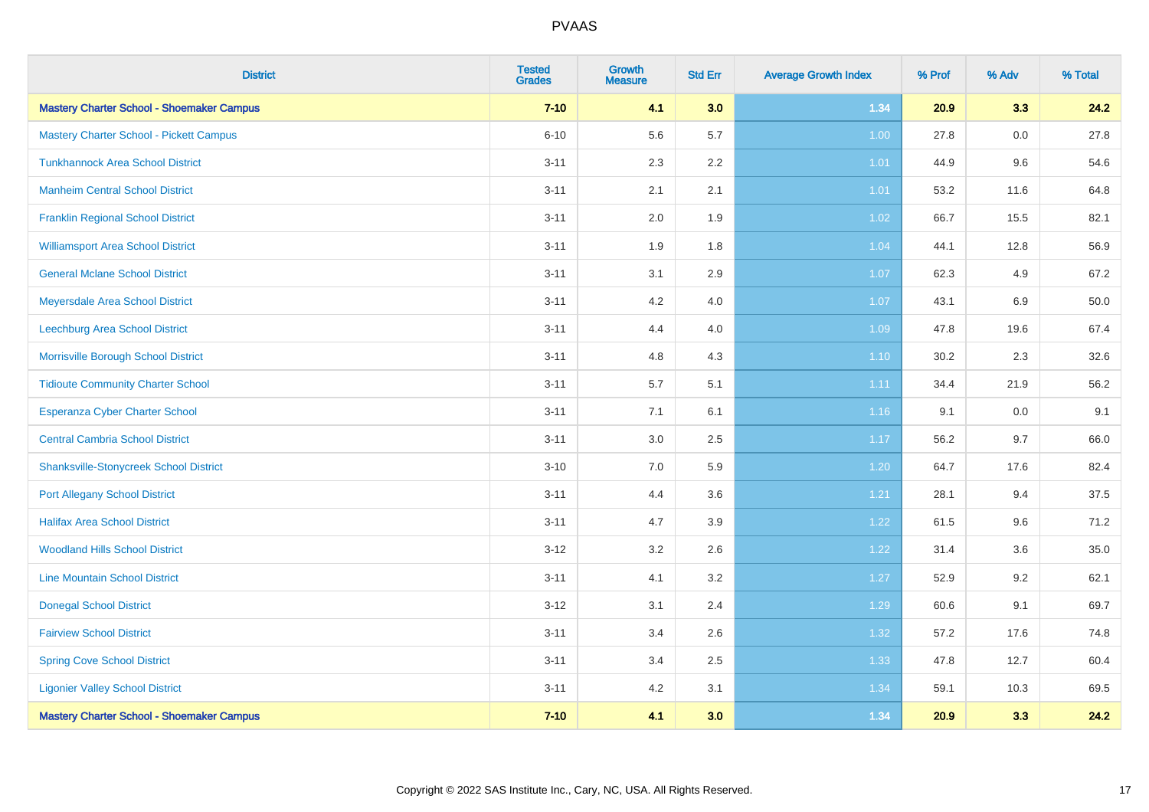| <b>District</b>                                  | <b>Tested</b><br><b>Grades</b> | <b>Growth</b><br><b>Measure</b> | <b>Std Err</b> | <b>Average Growth Index</b> | % Prof | % Adv   | % Total |
|--------------------------------------------------|--------------------------------|---------------------------------|----------------|-----------------------------|--------|---------|---------|
| <b>Mastery Charter School - Shoemaker Campus</b> | $7 - 10$                       | 4.1                             | 3.0            | 1.34                        | 20.9   | 3.3     | 24.2    |
| Mastery Charter School - Pickett Campus          | $6 - 10$                       | 5.6                             | 5.7            | 1.00                        | 27.8   | 0.0     | 27.8    |
| <b>Tunkhannock Area School District</b>          | $3 - 11$                       | 2.3                             | 2.2            | 1.01                        | 44.9   | 9.6     | 54.6    |
| <b>Manheim Central School District</b>           | $3 - 11$                       | 2.1                             | 2.1            | 1.01                        | 53.2   | 11.6    | 64.8    |
| <b>Franklin Regional School District</b>         | $3 - 11$                       | 2.0                             | 1.9            | $1.02$                      | 66.7   | 15.5    | 82.1    |
| <b>Williamsport Area School District</b>         | $3 - 11$                       | 1.9                             | 1.8            | 1.04                        | 44.1   | 12.8    | 56.9    |
| <b>General Mclane School District</b>            | $3 - 11$                       | 3.1                             | 2.9            | 1.07                        | 62.3   | 4.9     | 67.2    |
| Meyersdale Area School District                  | $3 - 11$                       | 4.2                             | 4.0            | 1.07                        | 43.1   | 6.9     | 50.0    |
| Leechburg Area School District                   | $3 - 11$                       | 4.4                             | 4.0            | 1.09                        | 47.8   | 19.6    | 67.4    |
| Morrisville Borough School District              | $3 - 11$                       | 4.8                             | 4.3            | $1.10$                      | 30.2   | 2.3     | 32.6    |
| <b>Tidioute Community Charter School</b>         | $3 - 11$                       | 5.7                             | 5.1            | 1.11                        | 34.4   | 21.9    | 56.2    |
| <b>Esperanza Cyber Charter School</b>            | $3 - 11$                       | 7.1                             | 6.1            | 1.16                        | 9.1    | $0.0\,$ | 9.1     |
| <b>Central Cambria School District</b>           | $3 - 11$                       | 3.0                             | 2.5            | 1.17                        | 56.2   | 9.7     | 66.0    |
| <b>Shanksville-Stonycreek School District</b>    | $3 - 10$                       | 7.0                             | 5.9            | 1.20                        | 64.7   | 17.6    | 82.4    |
| <b>Port Allegany School District</b>             | $3 - 11$                       | 4.4                             | 3.6            | 1.21                        | 28.1   | 9.4     | 37.5    |
| <b>Halifax Area School District</b>              | $3 - 11$                       | 4.7                             | 3.9            | 1.22                        | 61.5   | 9.6     | 71.2    |
| <b>Woodland Hills School District</b>            | $3 - 12$                       | 3.2                             | 2.6            | 1.22                        | 31.4   | 3.6     | 35.0    |
| <b>Line Mountain School District</b>             | $3 - 11$                       | 4.1                             | 3.2            | 1.27                        | 52.9   | 9.2     | 62.1    |
| <b>Donegal School District</b>                   | $3 - 12$                       | 3.1                             | 2.4            | 1.29                        | 60.6   | 9.1     | 69.7    |
| <b>Fairview School District</b>                  | $3 - 11$                       | 3.4                             | 2.6            | 1.32                        | 57.2   | 17.6    | 74.8    |
| <b>Spring Cove School District</b>               | $3 - 11$                       | 3.4                             | 2.5            | 1.33                        | 47.8   | 12.7    | 60.4    |
| <b>Ligonier Valley School District</b>           | $3 - 11$                       | 4.2                             | 3.1            | 1.34                        | 59.1   | 10.3    | 69.5    |
| <b>Mastery Charter School - Shoemaker Campus</b> | $7 - 10$                       | 4.1                             | 3.0            | 1.34                        | 20.9   | 3.3     | 24.2    |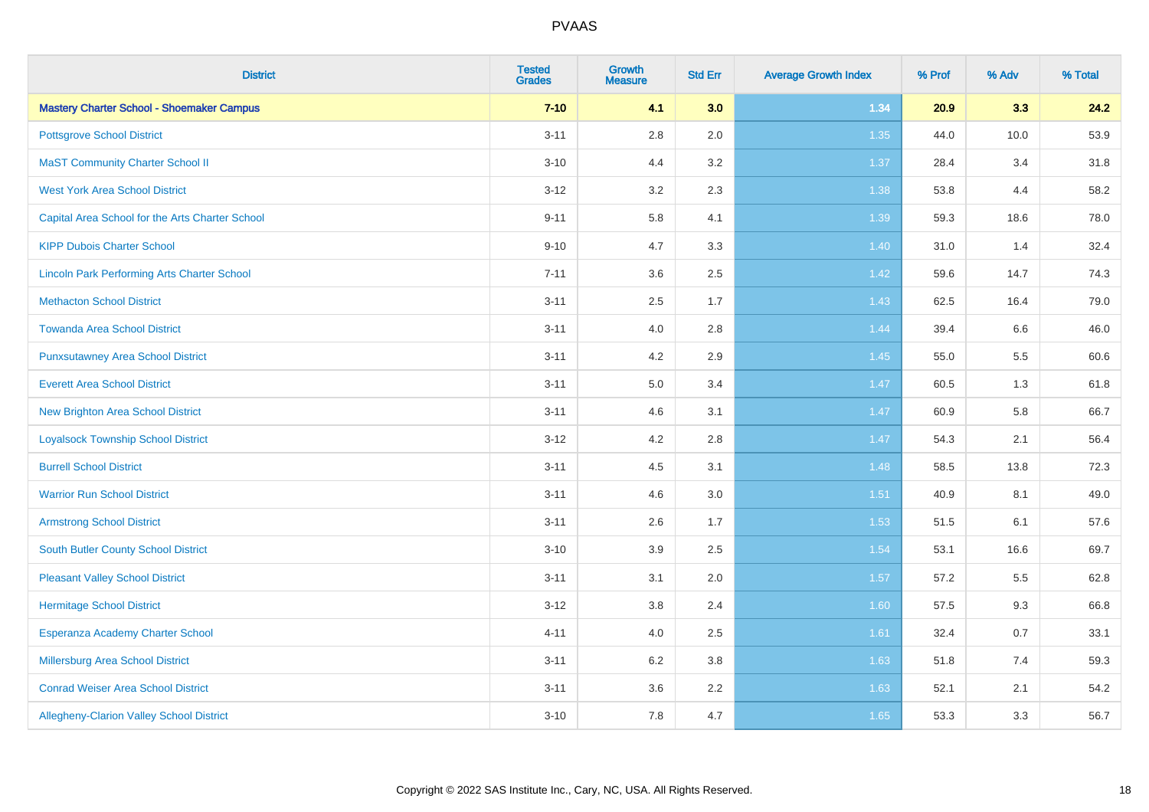| <b>District</b>                                    | <b>Tested</b><br><b>Grades</b> | <b>Growth</b><br><b>Measure</b> | <b>Std Err</b> | <b>Average Growth Index</b> | % Prof | % Adv   | % Total |
|----------------------------------------------------|--------------------------------|---------------------------------|----------------|-----------------------------|--------|---------|---------|
| <b>Mastery Charter School - Shoemaker Campus</b>   | $7 - 10$                       | 4.1                             | 3.0            | 1.34                        | 20.9   | 3.3     | 24.2    |
| <b>Pottsgrove School District</b>                  | $3 - 11$                       | $2.8\,$                         | 2.0            | 1.35                        | 44.0   | 10.0    | 53.9    |
| <b>MaST Community Charter School II</b>            | $3 - 10$                       | 4.4                             | 3.2            | 1.37                        | 28.4   | 3.4     | 31.8    |
| <b>West York Area School District</b>              | $3 - 12$                       | 3.2                             | 2.3            | 1.38                        | 53.8   | 4.4     | 58.2    |
| Capital Area School for the Arts Charter School    | $9 - 11$                       | 5.8                             | 4.1            | 1.39                        | 59.3   | 18.6    | 78.0    |
| <b>KIPP Dubois Charter School</b>                  | $9 - 10$                       | 4.7                             | 3.3            | 1.40                        | 31.0   | 1.4     | 32.4    |
| <b>Lincoln Park Performing Arts Charter School</b> | $7 - 11$                       | 3.6                             | 2.5            | 1.42                        | 59.6   | 14.7    | 74.3    |
| <b>Methacton School District</b>                   | $3 - 11$                       | 2.5                             | 1.7            | 1.43                        | 62.5   | 16.4    | 79.0    |
| <b>Towanda Area School District</b>                | $3 - 11$                       | 4.0                             | 2.8            | 1.44                        | 39.4   | $6.6\,$ | 46.0    |
| <b>Punxsutawney Area School District</b>           | $3 - 11$                       | 4.2                             | 2.9            | 1.45                        | 55.0   | 5.5     | 60.6    |
| <b>Everett Area School District</b>                | $3 - 11$                       | 5.0                             | 3.4            | 1.47                        | 60.5   | 1.3     | 61.8    |
| New Brighton Area School District                  | $3 - 11$                       | 4.6                             | 3.1            | 1.47                        | 60.9   | 5.8     | 66.7    |
| <b>Loyalsock Township School District</b>          | $3 - 12$                       | 4.2                             | 2.8            | 1.47                        | 54.3   | 2.1     | 56.4    |
| <b>Burrell School District</b>                     | $3 - 11$                       | 4.5                             | 3.1            | 1.48                        | 58.5   | 13.8    | 72.3    |
| <b>Warrior Run School District</b>                 | $3 - 11$                       | 4.6                             | 3.0            | $1.51$                      | 40.9   | 8.1     | 49.0    |
| <b>Armstrong School District</b>                   | $3 - 11$                       | 2.6                             | 1.7            | 1.53                        | 51.5   | 6.1     | 57.6    |
| South Butler County School District                | $3 - 10$                       | 3.9                             | 2.5            | 1.54                        | 53.1   | 16.6    | 69.7    |
| <b>Pleasant Valley School District</b>             | $3 - 11$                       | 3.1                             | 2.0            | 1.57                        | 57.2   | 5.5     | 62.8    |
| <b>Hermitage School District</b>                   | $3 - 12$                       | $3.8\,$                         | 2.4            | 1.60                        | 57.5   | 9.3     | 66.8    |
| Esperanza Academy Charter School                   | $4 - 11$                       | 4.0                             | 2.5            | 1.61                        | 32.4   | 0.7     | 33.1    |
| <b>Millersburg Area School District</b>            | $3 - 11$                       | 6.2                             | 3.8            | 1.63                        | 51.8   | 7.4     | 59.3    |
| <b>Conrad Weiser Area School District</b>          | $3 - 11$                       | 3.6                             | 2.2            | 1.63                        | 52.1   | 2.1     | 54.2    |
| Allegheny-Clarion Valley School District           | $3 - 10$                       | 7.8                             | 4.7            | 1.65                        | 53.3   | 3.3     | 56.7    |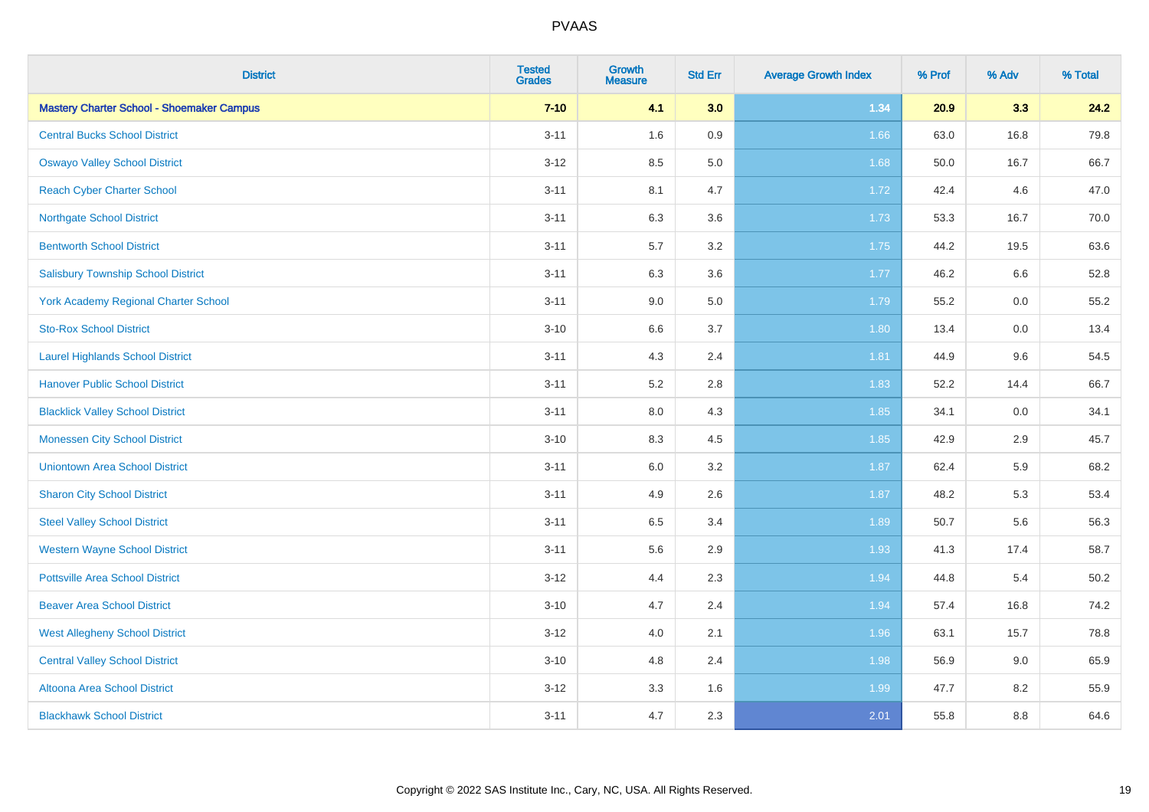| <b>District</b>                                  | <b>Tested</b><br><b>Grades</b> | <b>Growth</b><br><b>Measure</b> | <b>Std Err</b> | <b>Average Growth Index</b> | % Prof | % Adv | % Total |
|--------------------------------------------------|--------------------------------|---------------------------------|----------------|-----------------------------|--------|-------|---------|
| <b>Mastery Charter School - Shoemaker Campus</b> | $7 - 10$                       | 4.1                             | 3.0            | 1.34                        | 20.9   | 3.3   | 24.2    |
| <b>Central Bucks School District</b>             | $3 - 11$                       | 1.6                             | 0.9            | 1.66                        | 63.0   | 16.8  | 79.8    |
| <b>Oswayo Valley School District</b>             | $3 - 12$                       | 8.5                             | 5.0            | 1.68                        | 50.0   | 16.7  | 66.7    |
| <b>Reach Cyber Charter School</b>                | $3 - 11$                       | 8.1                             | 4.7            | 1.72                        | 42.4   | 4.6   | 47.0    |
| <b>Northgate School District</b>                 | $3 - 11$                       | 6.3                             | 3.6            | 1.73                        | 53.3   | 16.7  | 70.0    |
| <b>Bentworth School District</b>                 | $3 - 11$                       | 5.7                             | 3.2            | 1.75                        | 44.2   | 19.5  | 63.6    |
| <b>Salisbury Township School District</b>        | $3 - 11$                       | 6.3                             | 3.6            | 1.77                        | 46.2   | 6.6   | 52.8    |
| <b>York Academy Regional Charter School</b>      | $3 - 11$                       | 9.0                             | 5.0            | 1.79                        | 55.2   | 0.0   | 55.2    |
| <b>Sto-Rox School District</b>                   | $3 - 10$                       | 6.6                             | 3.7            | 1.80                        | 13.4   | 0.0   | 13.4    |
| <b>Laurel Highlands School District</b>          | $3 - 11$                       | 4.3                             | 2.4            | 1.81                        | 44.9   | 9.6   | 54.5    |
| <b>Hanover Public School District</b>            | $3 - 11$                       | 5.2                             | 2.8            | 1.83                        | 52.2   | 14.4  | 66.7    |
| <b>Blacklick Valley School District</b>          | $3 - 11$                       | 8.0                             | 4.3            | 1.85                        | 34.1   | 0.0   | 34.1    |
| <b>Monessen City School District</b>             | $3 - 10$                       | 8.3                             | 4.5            | 1.85                        | 42.9   | 2.9   | 45.7    |
| <b>Uniontown Area School District</b>            | $3 - 11$                       | 6.0                             | 3.2            | 1.87                        | 62.4   | 5.9   | 68.2    |
| <b>Sharon City School District</b>               | $3 - 11$                       | 4.9                             | 2.6            | 1.87                        | 48.2   | 5.3   | 53.4    |
| <b>Steel Valley School District</b>              | $3 - 11$                       | 6.5                             | 3.4            | 1.89                        | 50.7   | 5.6   | 56.3    |
| <b>Western Wayne School District</b>             | $3 - 11$                       | 5.6                             | 2.9            | 1.93                        | 41.3   | 17.4  | 58.7    |
| <b>Pottsville Area School District</b>           | $3-12$                         | 4.4                             | 2.3            | 1.94                        | 44.8   | 5.4   | 50.2    |
| <b>Beaver Area School District</b>               | $3 - 10$                       | 4.7                             | 2.4            | 1.94                        | 57.4   | 16.8  | 74.2    |
| <b>West Allegheny School District</b>            | $3 - 12$                       | 4.0                             | 2.1            | 1.96                        | 63.1   | 15.7  | 78.8    |
| <b>Central Valley School District</b>            | $3 - 10$                       | 4.8                             | 2.4            | 1.98                        | 56.9   | 9.0   | 65.9    |
| Altoona Area School District                     | $3-12$                         | 3.3                             | 1.6            | 1.99                        | 47.7   | 8.2   | 55.9    |
| <b>Blackhawk School District</b>                 | $3 - 11$                       | 4.7                             | 2.3            | 2.01                        | 55.8   | 8.8   | 64.6    |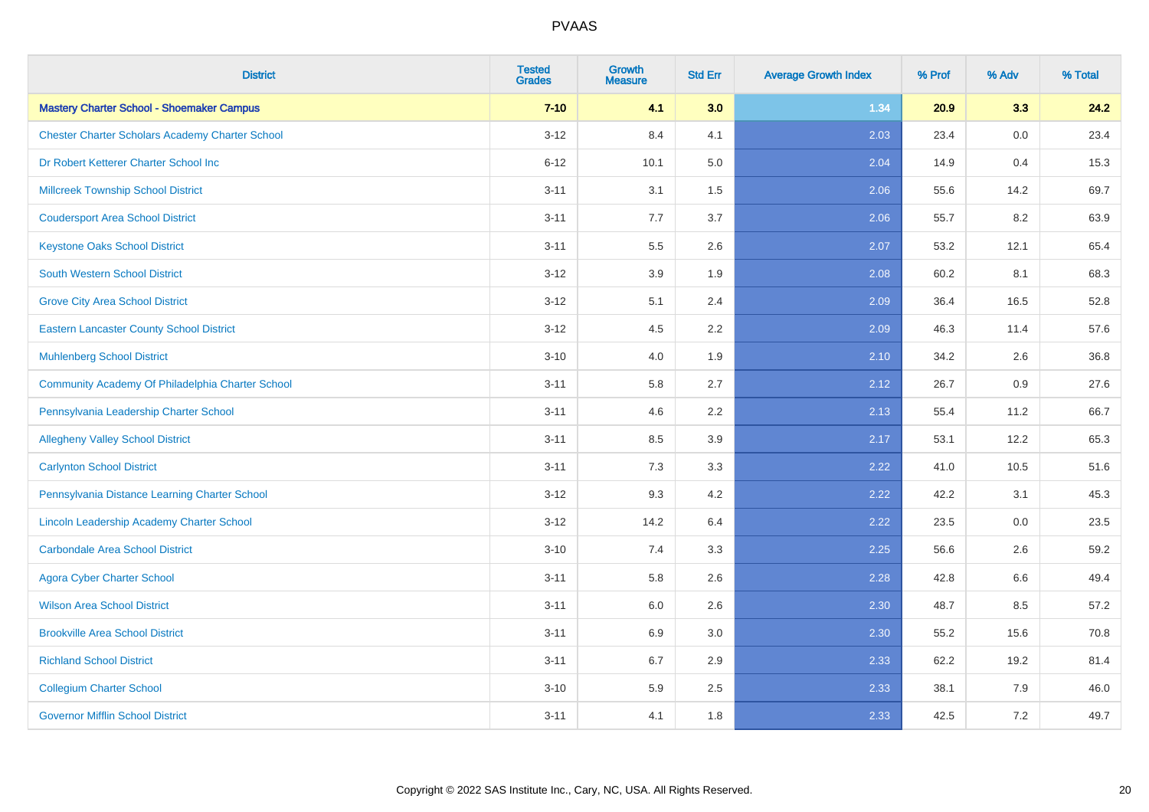| <b>District</b>                                        | <b>Tested</b><br><b>Grades</b> | <b>Growth</b><br><b>Measure</b> | <b>Std Err</b> | <b>Average Growth Index</b> | % Prof | % Adv | % Total |
|--------------------------------------------------------|--------------------------------|---------------------------------|----------------|-----------------------------|--------|-------|---------|
| <b>Mastery Charter School - Shoemaker Campus</b>       | $7 - 10$                       | 4.1                             | 3.0            | 1.34                        | 20.9   | 3.3   | 24.2    |
| <b>Chester Charter Scholars Academy Charter School</b> | $3 - 12$                       | 8.4                             | 4.1            | 2.03                        | 23.4   | 0.0   | 23.4    |
| Dr Robert Ketterer Charter School Inc                  | $6 - 12$                       | 10.1                            | 5.0            | 2.04                        | 14.9   | 0.4   | 15.3    |
| <b>Millcreek Township School District</b>              | $3 - 11$                       | 3.1                             | 1.5            | 2.06                        | 55.6   | 14.2  | 69.7    |
| <b>Coudersport Area School District</b>                | $3 - 11$                       | 7.7                             | 3.7            | 2.06                        | 55.7   | 8.2   | 63.9    |
| <b>Keystone Oaks School District</b>                   | $3 - 11$                       | 5.5                             | 2.6            | 2.07                        | 53.2   | 12.1  | 65.4    |
| South Western School District                          | $3 - 12$                       | 3.9                             | 1.9            | 2.08                        | 60.2   | 8.1   | 68.3    |
| <b>Grove City Area School District</b>                 | $3 - 12$                       | 5.1                             | 2.4            | 2.09                        | 36.4   | 16.5  | 52.8    |
| <b>Eastern Lancaster County School District</b>        | $3 - 12$                       | 4.5                             | 2.2            | 2.09                        | 46.3   | 11.4  | 57.6    |
| <b>Muhlenberg School District</b>                      | $3 - 10$                       | 4.0                             | 1.9            | 2.10                        | 34.2   | 2.6   | 36.8    |
| Community Academy Of Philadelphia Charter School       | $3 - 11$                       | 5.8                             | 2.7            | 2.12                        | 26.7   | 0.9   | 27.6    |
| Pennsylvania Leadership Charter School                 | $3 - 11$                       | 4.6                             | 2.2            | 2.13                        | 55.4   | 11.2  | 66.7    |
| <b>Allegheny Valley School District</b>                | $3 - 11$                       | 8.5                             | 3.9            | 2.17                        | 53.1   | 12.2  | 65.3    |
| <b>Carlynton School District</b>                       | $3 - 11$                       | 7.3                             | 3.3            | 2.22                        | 41.0   | 10.5  | 51.6    |
| Pennsylvania Distance Learning Charter School          | $3 - 12$                       | 9.3                             | 4.2            | 2.22                        | 42.2   | 3.1   | 45.3    |
| <b>Lincoln Leadership Academy Charter School</b>       | $3-12$                         | 14.2                            | 6.4            | 2.22                        | 23.5   | 0.0   | 23.5    |
| <b>Carbondale Area School District</b>                 | $3 - 10$                       | 7.4                             | 3.3            | 2.25                        | 56.6   | 2.6   | 59.2    |
| <b>Agora Cyber Charter School</b>                      | $3 - 11$                       | 5.8                             | 2.6            | 2.28                        | 42.8   | 6.6   | 49.4    |
| <b>Wilson Area School District</b>                     | $3 - 11$                       | 6.0                             | 2.6            | 2.30                        | 48.7   | 8.5   | 57.2    |
| <b>Brookville Area School District</b>                 | $3 - 11$                       | 6.9                             | 3.0            | 2.30                        | 55.2   | 15.6  | 70.8    |
| <b>Richland School District</b>                        | $3 - 11$                       | 6.7                             | 2.9            | 2.33                        | 62.2   | 19.2  | 81.4    |
| <b>Collegium Charter School</b>                        | $3 - 10$                       | 5.9                             | 2.5            | 2.33                        | 38.1   | 7.9   | 46.0    |
| <b>Governor Mifflin School District</b>                | $3 - 11$                       | 4.1                             | 1.8            | 2.33                        | 42.5   | 7.2   | 49.7    |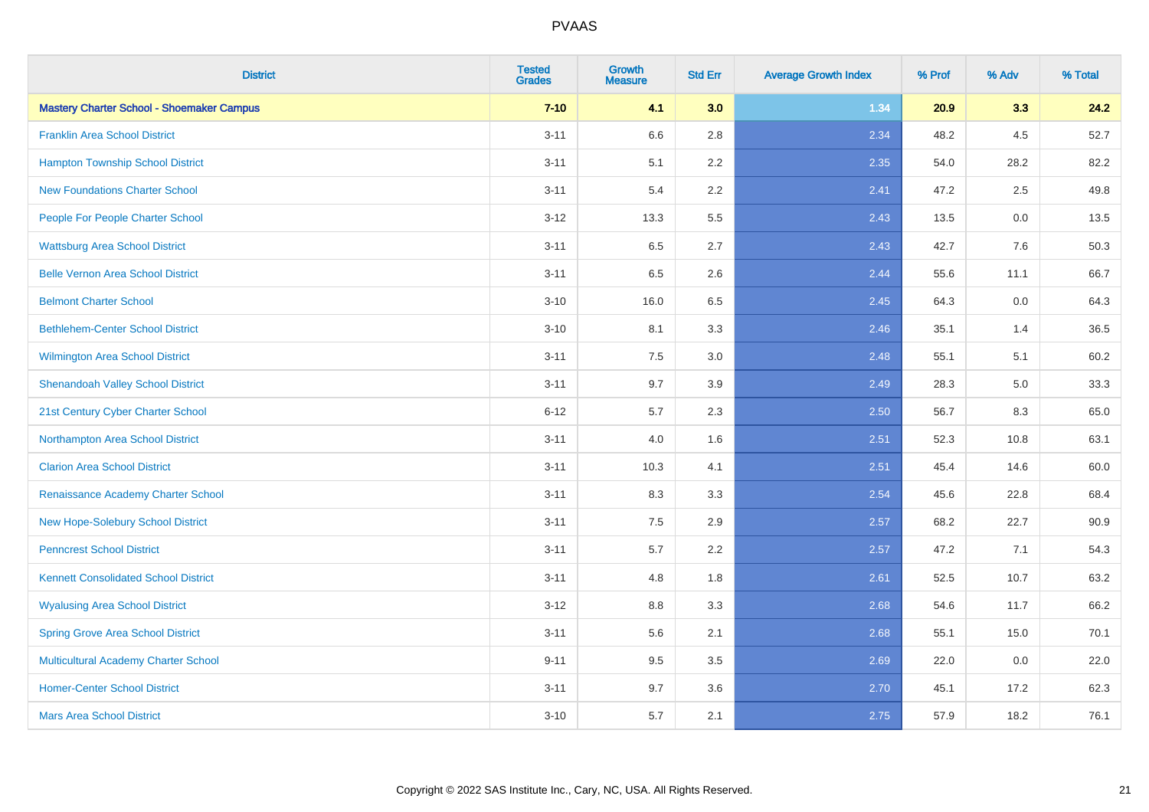| <b>District</b>                                  | <b>Tested</b><br><b>Grades</b> | Growth<br><b>Measure</b> | <b>Std Err</b> | <b>Average Growth Index</b> | % Prof | % Adv | % Total |
|--------------------------------------------------|--------------------------------|--------------------------|----------------|-----------------------------|--------|-------|---------|
| <b>Mastery Charter School - Shoemaker Campus</b> | $7 - 10$                       | 4.1                      | 3.0            | 1.34                        | 20.9   | 3.3   | 24.2    |
| <b>Franklin Area School District</b>             | $3 - 11$                       | 6.6                      | 2.8            | 2.34                        | 48.2   | 4.5   | 52.7    |
| <b>Hampton Township School District</b>          | $3 - 11$                       | 5.1                      | 2.2            | 2.35                        | 54.0   | 28.2  | 82.2    |
| <b>New Foundations Charter School</b>            | $3 - 11$                       | 5.4                      | 2.2            | 2.41                        | 47.2   | 2.5   | 49.8    |
| People For People Charter School                 | $3 - 12$                       | 13.3                     | 5.5            | 2.43                        | 13.5   | 0.0   | 13.5    |
| <b>Wattsburg Area School District</b>            | $3 - 11$                       | 6.5                      | 2.7            | 2.43                        | 42.7   | 7.6   | 50.3    |
| <b>Belle Vernon Area School District</b>         | $3 - 11$                       | 6.5                      | 2.6            | 2.44                        | 55.6   | 11.1  | 66.7    |
| <b>Belmont Charter School</b>                    | $3 - 10$                       | 16.0                     | 6.5            | 2.45                        | 64.3   | 0.0   | 64.3    |
| <b>Bethlehem-Center School District</b>          | $3 - 10$                       | 8.1                      | 3.3            | 2.46                        | 35.1   | 1.4   | 36.5    |
| Wilmington Area School District                  | $3 - 11$                       | $7.5\,$                  | 3.0            | 2.48                        | 55.1   | 5.1   | 60.2    |
| <b>Shenandoah Valley School District</b>         | $3 - 11$                       | 9.7                      | 3.9            | 2.49                        | 28.3   | 5.0   | 33.3    |
| 21st Century Cyber Charter School                | $6 - 12$                       | 5.7                      | 2.3            | 2.50                        | 56.7   | 8.3   | 65.0    |
| Northampton Area School District                 | $3 - 11$                       | 4.0                      | 1.6            | 2.51                        | 52.3   | 10.8  | 63.1    |
| <b>Clarion Area School District</b>              | $3 - 11$                       | 10.3                     | 4.1            | 2.51                        | 45.4   | 14.6  | 60.0    |
| Renaissance Academy Charter School               | $3 - 11$                       | 8.3                      | 3.3            | 2.54                        | 45.6   | 22.8  | 68.4    |
| New Hope-Solebury School District                | $3 - 11$                       | 7.5                      | 2.9            | 2.57                        | 68.2   | 22.7  | 90.9    |
| <b>Penncrest School District</b>                 | $3 - 11$                       | 5.7                      | 2.2            | 2.57                        | 47.2   | 7.1   | 54.3    |
| <b>Kennett Consolidated School District</b>      | $3 - 11$                       | 4.8                      | 1.8            | 2.61                        | 52.5   | 10.7  | 63.2    |
| <b>Wyalusing Area School District</b>            | $3-12$                         | $8.8\,$                  | 3.3            | 2.68                        | 54.6   | 11.7  | 66.2    |
| <b>Spring Grove Area School District</b>         | $3 - 11$                       | 5.6                      | 2.1            | 2.68                        | 55.1   | 15.0  | 70.1    |
| Multicultural Academy Charter School             | $9 - 11$                       | 9.5                      | 3.5            | 2.69                        | 22.0   | 0.0   | 22.0    |
| <b>Homer-Center School District</b>              | $3 - 11$                       | 9.7                      | 3.6            | 2.70                        | 45.1   | 17.2  | 62.3    |
| <b>Mars Area School District</b>                 | $3 - 10$                       | 5.7                      | 2.1            | 2.75                        | 57.9   | 18.2  | 76.1    |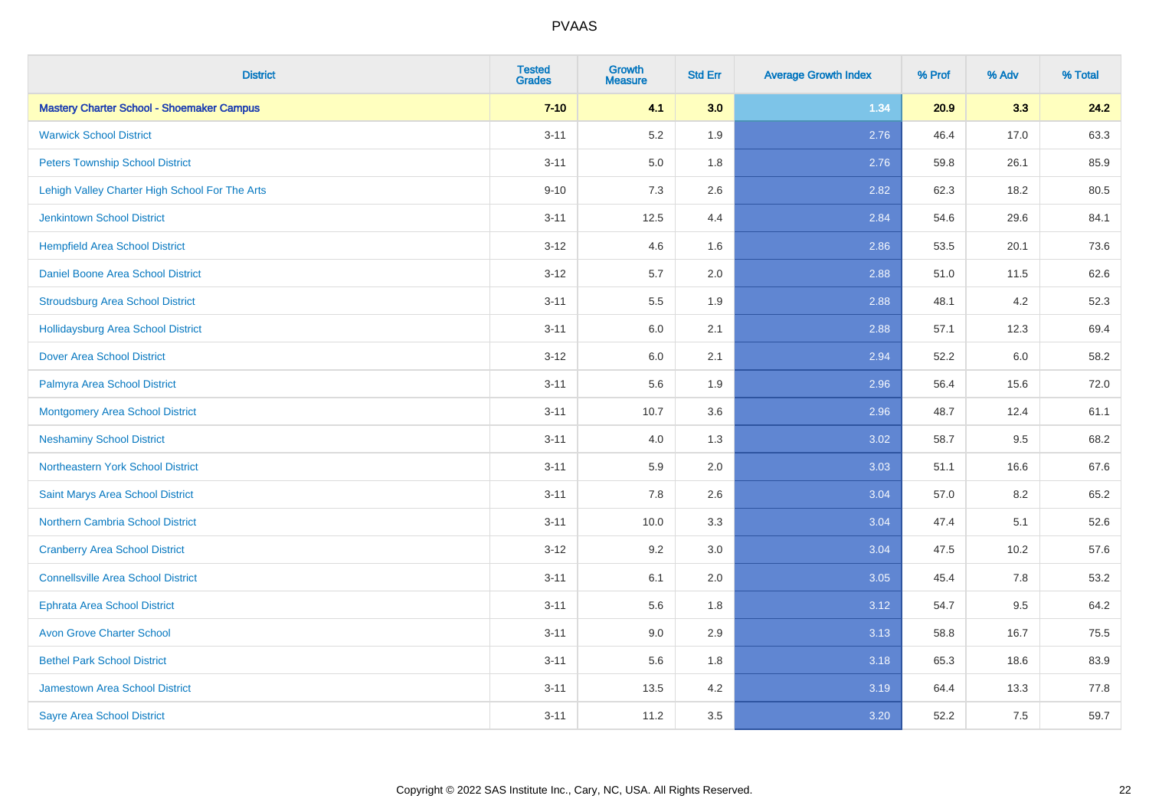| <b>District</b>                                  | <b>Tested</b><br><b>Grades</b> | <b>Growth</b><br><b>Measure</b> | <b>Std Err</b> | <b>Average Growth Index</b> | % Prof | % Adv | % Total |
|--------------------------------------------------|--------------------------------|---------------------------------|----------------|-----------------------------|--------|-------|---------|
| <b>Mastery Charter School - Shoemaker Campus</b> | $7 - 10$                       | 4.1                             | 3.0            | 1.34                        | 20.9   | 3.3   | 24.2    |
| <b>Warwick School District</b>                   | $3 - 11$                       | 5.2                             | 1.9            | 2.76                        | 46.4   | 17.0  | 63.3    |
| <b>Peters Township School District</b>           | $3 - 11$                       | 5.0                             | 1.8            | 2.76                        | 59.8   | 26.1  | 85.9    |
| Lehigh Valley Charter High School For The Arts   | $9 - 10$                       | $7.3$                           | 2.6            | 2.82                        | 62.3   | 18.2  | 80.5    |
| <b>Jenkintown School District</b>                | $3 - 11$                       | 12.5                            | 4.4            | 2.84                        | 54.6   | 29.6  | 84.1    |
| <b>Hempfield Area School District</b>            | $3-12$                         | 4.6                             | 1.6            | 2.86                        | 53.5   | 20.1  | 73.6    |
| Daniel Boone Area School District                | $3 - 12$                       | 5.7                             | 2.0            | 2.88                        | 51.0   | 11.5  | 62.6    |
| <b>Stroudsburg Area School District</b>          | $3 - 11$                       | 5.5                             | 1.9            | 2.88                        | 48.1   | 4.2   | 52.3    |
| <b>Hollidaysburg Area School District</b>        | $3 - 11$                       | 6.0                             | 2.1            | 2.88                        | 57.1   | 12.3  | 69.4    |
| <b>Dover Area School District</b>                | $3 - 12$                       | 6.0                             | 2.1            | 2.94                        | 52.2   | 6.0   | 58.2    |
| Palmyra Area School District                     | $3 - 11$                       | 5.6                             | 1.9            | 2.96                        | 56.4   | 15.6  | 72.0    |
| <b>Montgomery Area School District</b>           | $3 - 11$                       | 10.7                            | 3.6            | 2.96                        | 48.7   | 12.4  | 61.1    |
| <b>Neshaminy School District</b>                 | $3 - 11$                       | 4.0                             | 1.3            | 3.02                        | 58.7   | 9.5   | 68.2    |
| <b>Northeastern York School District</b>         | $3 - 11$                       | 5.9                             | 2.0            | 3.03                        | 51.1   | 16.6  | 67.6    |
| Saint Marys Area School District                 | $3 - 11$                       | 7.8                             | 2.6            | 3.04                        | 57.0   | 8.2   | 65.2    |
| Northern Cambria School District                 | $3 - 11$                       | 10.0                            | 3.3            | 3.04                        | 47.4   | 5.1   | 52.6    |
| <b>Cranberry Area School District</b>            | $3 - 12$                       | 9.2                             | 3.0            | 3.04                        | 47.5   | 10.2  | 57.6    |
| <b>Connellsville Area School District</b>        | $3 - 11$                       | 6.1                             | 2.0            | 3.05                        | 45.4   | 7.8   | 53.2    |
| <b>Ephrata Area School District</b>              | $3 - 11$                       | 5.6                             | 1.8            | 3.12                        | 54.7   | 9.5   | 64.2    |
| <b>Avon Grove Charter School</b>                 | $3 - 11$                       | 9.0                             | 2.9            | 3.13                        | 58.8   | 16.7  | 75.5    |
| <b>Bethel Park School District</b>               | $3 - 11$                       | 5.6                             | 1.8            | 3.18                        | 65.3   | 18.6  | 83.9    |
| Jamestown Area School District                   | $3 - 11$                       | 13.5                            | 4.2            | 3.19                        | 64.4   | 13.3  | 77.8    |
| <b>Sayre Area School District</b>                | $3 - 11$                       | 11.2                            | 3.5            | 3.20                        | 52.2   | 7.5   | 59.7    |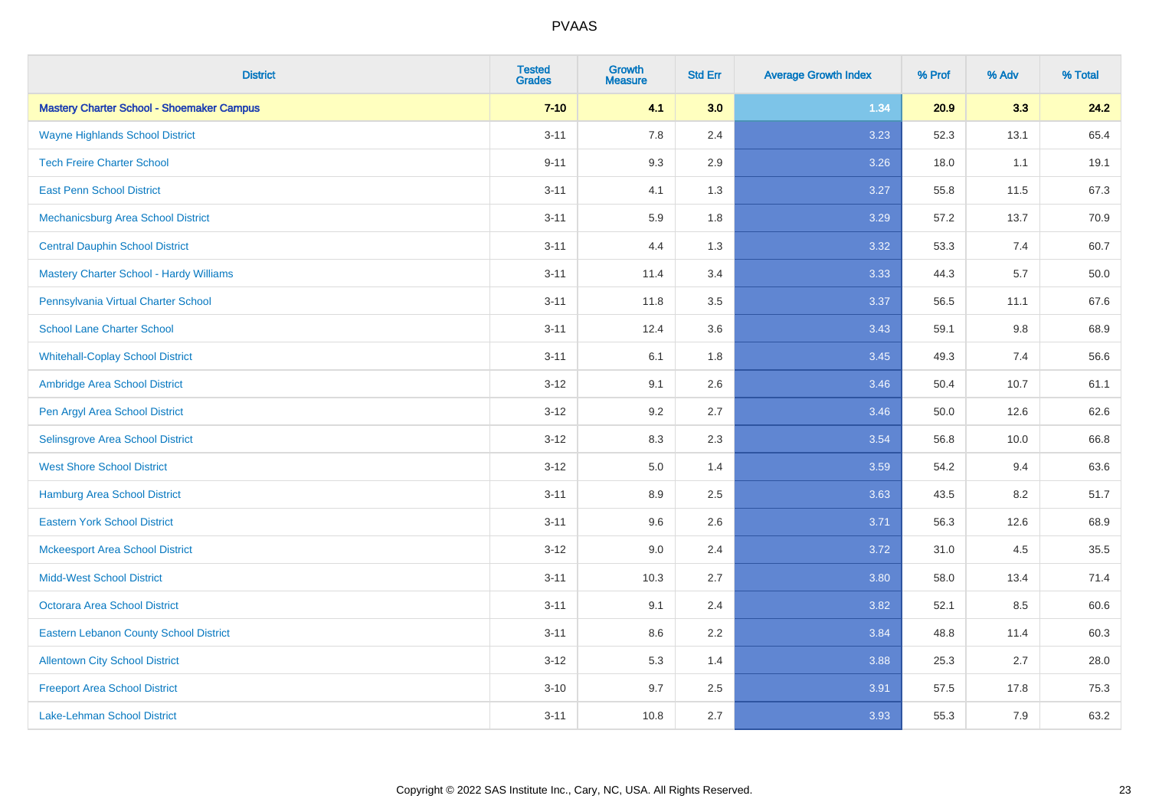| <b>District</b>                                  | <b>Tested</b><br><b>Grades</b> | Growth<br><b>Measure</b> | <b>Std Err</b> | <b>Average Growth Index</b> | % Prof | % Adv   | % Total |
|--------------------------------------------------|--------------------------------|--------------------------|----------------|-----------------------------|--------|---------|---------|
| <b>Mastery Charter School - Shoemaker Campus</b> | $7 - 10$                       | 4.1                      | 3.0            | 1.34                        | 20.9   | 3.3     | 24.2    |
| <b>Wayne Highlands School District</b>           | $3 - 11$                       | 7.8                      | 2.4            | 3.23                        | 52.3   | 13.1    | 65.4    |
| <b>Tech Freire Charter School</b>                | $9 - 11$                       | 9.3                      | 2.9            | 3.26                        | 18.0   | 1.1     | 19.1    |
| <b>East Penn School District</b>                 | $3 - 11$                       | 4.1                      | 1.3            | 3.27                        | 55.8   | 11.5    | 67.3    |
| Mechanicsburg Area School District               | $3 - 11$                       | 5.9                      | 1.8            | 3.29                        | 57.2   | 13.7    | 70.9    |
| <b>Central Dauphin School District</b>           | $3 - 11$                       | 4.4                      | 1.3            | 3.32                        | 53.3   | 7.4     | 60.7    |
| <b>Mastery Charter School - Hardy Williams</b>   | $3 - 11$                       | 11.4                     | 3.4            | 3.33                        | 44.3   | 5.7     | 50.0    |
| Pennsylvania Virtual Charter School              | $3 - 11$                       | 11.8                     | 3.5            | 3.37                        | 56.5   | 11.1    | 67.6    |
| <b>School Lane Charter School</b>                | $3 - 11$                       | 12.4                     | 3.6            | 3.43                        | 59.1   | $9.8\,$ | 68.9    |
| <b>Whitehall-Coplay School District</b>          | $3 - 11$                       | 6.1                      | 1.8            | 3.45                        | 49.3   | 7.4     | 56.6    |
| Ambridge Area School District                    | $3 - 12$                       | 9.1                      | 2.6            | 3.46                        | 50.4   | 10.7    | 61.1    |
| Pen Argyl Area School District                   | $3 - 12$                       | 9.2                      | 2.7            | 3.46                        | 50.0   | 12.6    | 62.6    |
| Selinsgrove Area School District                 | $3 - 12$                       | 8.3                      | 2.3            | 3.54                        | 56.8   | 10.0    | 66.8    |
| <b>West Shore School District</b>                | $3 - 12$                       | 5.0                      | 1.4            | 3.59                        | 54.2   | 9.4     | 63.6    |
| <b>Hamburg Area School District</b>              | $3 - 11$                       | 8.9                      | 2.5            | 3.63                        | 43.5   | 8.2     | 51.7    |
| <b>Eastern York School District</b>              | $3 - 11$                       | 9.6                      | 2.6            | 3.71                        | 56.3   | 12.6    | 68.9    |
| <b>Mckeesport Area School District</b>           | $3 - 12$                       | 9.0                      | 2.4            | 3.72                        | 31.0   | 4.5     | 35.5    |
| <b>Midd-West School District</b>                 | $3 - 11$                       | 10.3                     | 2.7            | 3.80                        | 58.0   | 13.4    | 71.4    |
| <b>Octorara Area School District</b>             | $3 - 11$                       | 9.1                      | 2.4            | 3.82                        | 52.1   | 8.5     | 60.6    |
| <b>Eastern Lebanon County School District</b>    | $3 - 11$                       | 8.6                      | 2.2            | 3.84                        | 48.8   | 11.4    | 60.3    |
| <b>Allentown City School District</b>            | $3 - 12$                       | 5.3                      | 1.4            | 3.88                        | 25.3   | 2.7     | 28.0    |
| <b>Freeport Area School District</b>             | $3 - 10$                       | 9.7                      | 2.5            | 3.91                        | 57.5   | 17.8    | 75.3    |
| <b>Lake-Lehman School District</b>               | $3 - 11$                       | 10.8                     | 2.7            | 3.93                        | 55.3   | 7.9     | 63.2    |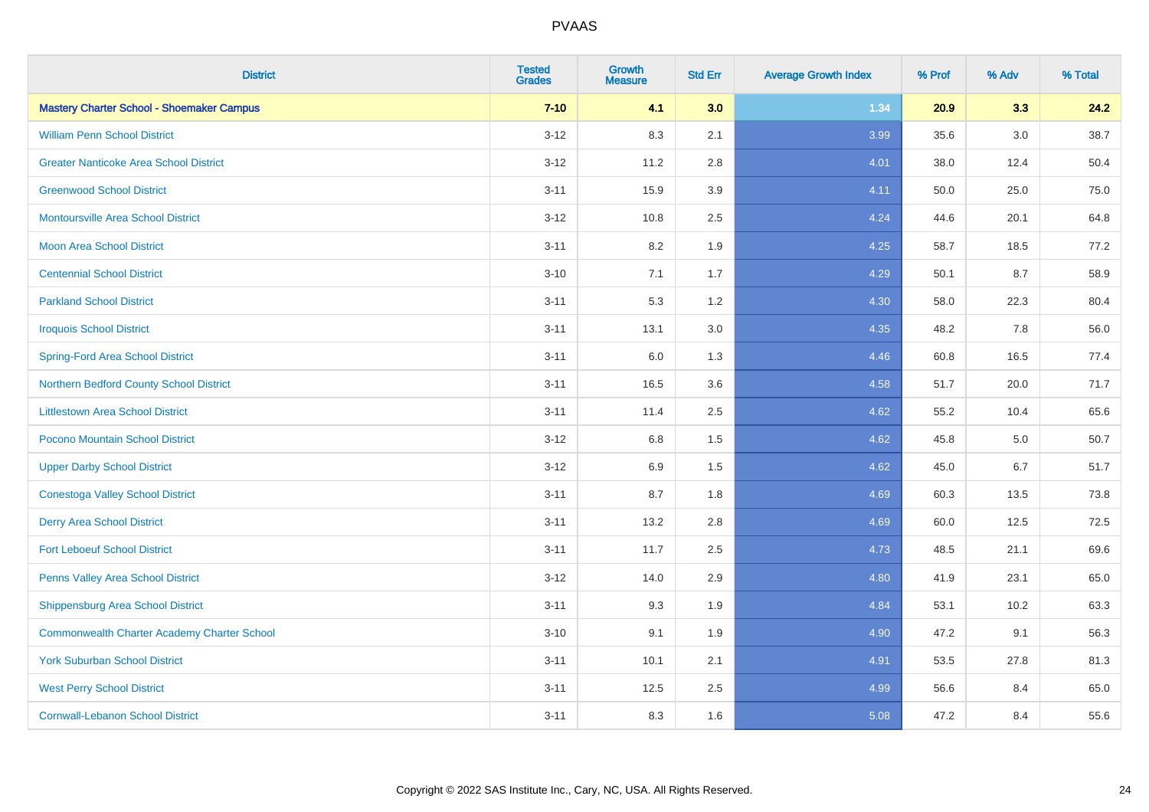| <b>District</b>                                    | <b>Tested</b><br><b>Grades</b> | <b>Growth</b><br><b>Measure</b> | <b>Std Err</b> | <b>Average Growth Index</b> | % Prof | % Adv   | % Total |
|----------------------------------------------------|--------------------------------|---------------------------------|----------------|-----------------------------|--------|---------|---------|
| <b>Mastery Charter School - Shoemaker Campus</b>   | $7 - 10$                       | 4.1                             | 3.0            | 1.34                        | 20.9   | 3.3     | 24.2    |
| <b>William Penn School District</b>                | $3 - 12$                       | 8.3                             | 2.1            | 3.99                        | 35.6   | $3.0\,$ | 38.7    |
| <b>Greater Nanticoke Area School District</b>      | $3 - 12$                       | 11.2                            | 2.8            | 4.01                        | 38.0   | 12.4    | 50.4    |
| <b>Greenwood School District</b>                   | $3 - 11$                       | 15.9                            | 3.9            | 4.11                        | 50.0   | 25.0    | 75.0    |
| <b>Montoursville Area School District</b>          | $3 - 12$                       | 10.8                            | 2.5            | 4.24                        | 44.6   | 20.1    | 64.8    |
| <b>Moon Area School District</b>                   | $3 - 11$                       | 8.2                             | 1.9            | 4.25                        | 58.7   | 18.5    | 77.2    |
| <b>Centennial School District</b>                  | $3 - 10$                       | 7.1                             | 1.7            | 4.29                        | 50.1   | 8.7     | 58.9    |
| <b>Parkland School District</b>                    | $3 - 11$                       | 5.3                             | 1.2            | 4.30                        | 58.0   | 22.3    | 80.4    |
| <b>Iroquois School District</b>                    | $3 - 11$                       | 13.1                            | 3.0            | 4.35                        | 48.2   | 7.8     | 56.0    |
| <b>Spring-Ford Area School District</b>            | $3 - 11$                       | 6.0                             | 1.3            | 4.46                        | 60.8   | 16.5    | 77.4    |
| Northern Bedford County School District            | $3 - 11$                       | 16.5                            | 3.6            | 4.58                        | 51.7   | 20.0    | 71.7    |
| <b>Littlestown Area School District</b>            | $3 - 11$                       | 11.4                            | 2.5            | 4.62                        | 55.2   | 10.4    | 65.6    |
| Pocono Mountain School District                    | $3 - 12$                       | $6.8\,$                         | 1.5            | 4.62                        | 45.8   | 5.0     | 50.7    |
| <b>Upper Darby School District</b>                 | $3 - 12$                       | 6.9                             | 1.5            | 4.62                        | 45.0   | 6.7     | 51.7    |
| <b>Conestoga Valley School District</b>            | $3 - 11$                       | 8.7                             | 1.8            | 4.69                        | 60.3   | 13.5    | 73.8    |
| <b>Derry Area School District</b>                  | $3 - 11$                       | 13.2                            | 2.8            | 4.69                        | 60.0   | 12.5    | 72.5    |
| <b>Fort Leboeuf School District</b>                | $3 - 11$                       | 11.7                            | 2.5            | 4.73                        | 48.5   | 21.1    | 69.6    |
| Penns Valley Area School District                  | $3 - 12$                       | 14.0                            | 2.9            | 4.80                        | 41.9   | 23.1    | 65.0    |
| Shippensburg Area School District                  | $3 - 11$                       | 9.3                             | 1.9            | 4.84                        | 53.1   | 10.2    | 63.3    |
| <b>Commonwealth Charter Academy Charter School</b> | $3 - 10$                       | 9.1                             | 1.9            | 4.90                        | 47.2   | 9.1     | 56.3    |
| <b>York Suburban School District</b>               | $3 - 11$                       | 10.1                            | 2.1            | 4.91                        | 53.5   | 27.8    | 81.3    |
| <b>West Perry School District</b>                  | $3 - 11$                       | 12.5                            | 2.5            | 4.99                        | 56.6   | 8.4     | 65.0    |
| <b>Cornwall-Lebanon School District</b>            | $3 - 11$                       | 8.3                             | 1.6            | 5.08                        | 47.2   | 8.4     | 55.6    |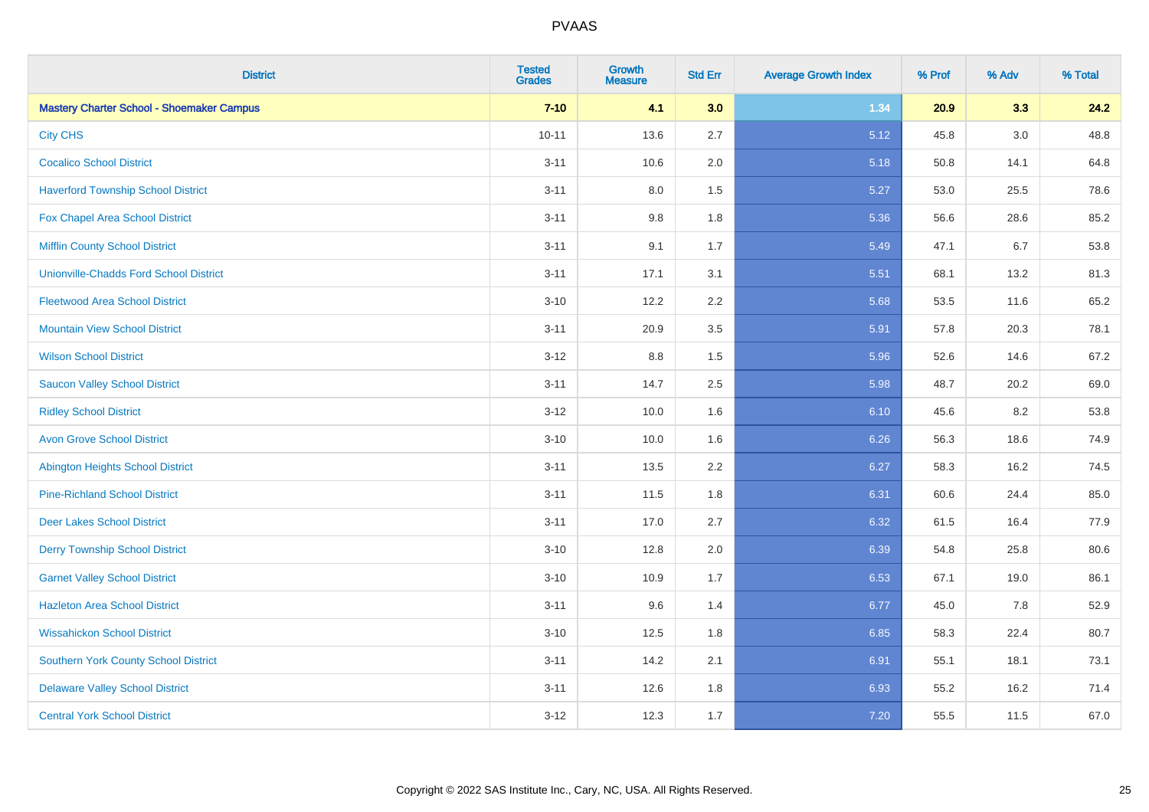| <b>District</b>                                  | <b>Tested</b><br><b>Grades</b> | <b>Growth</b><br><b>Measure</b> | <b>Std Err</b> | <b>Average Growth Index</b> | % Prof | % Adv   | % Total |
|--------------------------------------------------|--------------------------------|---------------------------------|----------------|-----------------------------|--------|---------|---------|
| <b>Mastery Charter School - Shoemaker Campus</b> | $7 - 10$                       | 4.1                             | 3.0            | 1.34                        | 20.9   | 3.3     | 24.2    |
| <b>City CHS</b>                                  | $10 - 11$                      | 13.6                            | 2.7            | 5.12                        | 45.8   | $3.0\,$ | 48.8    |
| <b>Cocalico School District</b>                  | $3 - 11$                       | 10.6                            | 2.0            | 5.18                        | 50.8   | 14.1    | 64.8    |
| <b>Haverford Township School District</b>        | $3 - 11$                       | 8.0                             | 1.5            | 5.27                        | 53.0   | 25.5    | 78.6    |
| <b>Fox Chapel Area School District</b>           | $3 - 11$                       | 9.8                             | 1.8            | 5.36                        | 56.6   | 28.6    | 85.2    |
| <b>Mifflin County School District</b>            | $3 - 11$                       | 9.1                             | 1.7            | 5.49                        | 47.1   | 6.7     | 53.8    |
| <b>Unionville-Chadds Ford School District</b>    | $3 - 11$                       | 17.1                            | 3.1            | 5.51                        | 68.1   | 13.2    | 81.3    |
| <b>Fleetwood Area School District</b>            | $3 - 10$                       | 12.2                            | 2.2            | 5.68                        | 53.5   | 11.6    | 65.2    |
| <b>Mountain View School District</b>             | $3 - 11$                       | 20.9                            | 3.5            | 5.91                        | 57.8   | 20.3    | 78.1    |
| <b>Wilson School District</b>                    | $3 - 12$                       | 8.8                             | 1.5            | 5.96                        | 52.6   | 14.6    | 67.2    |
| <b>Saucon Valley School District</b>             | $3 - 11$                       | 14.7                            | 2.5            | 5.98                        | 48.7   | 20.2    | 69.0    |
| <b>Ridley School District</b>                    | $3 - 12$                       | 10.0                            | 1.6            | 6.10                        | 45.6   | 8.2     | 53.8    |
| <b>Avon Grove School District</b>                | $3 - 10$                       | 10.0                            | 1.6            | 6.26                        | 56.3   | 18.6    | 74.9    |
| <b>Abington Heights School District</b>          | $3 - 11$                       | 13.5                            | 2.2            | 6.27                        | 58.3   | 16.2    | 74.5    |
| <b>Pine-Richland School District</b>             | $3 - 11$                       | 11.5                            | 1.8            | 6.31                        | 60.6   | 24.4    | 85.0    |
| <b>Deer Lakes School District</b>                | $3 - 11$                       | 17.0                            | 2.7            | 6.32                        | 61.5   | 16.4    | 77.9    |
| <b>Derry Township School District</b>            | $3 - 10$                       | 12.8                            | 2.0            | 6.39                        | 54.8   | 25.8    | 80.6    |
| <b>Garnet Valley School District</b>             | $3 - 10$                       | 10.9                            | 1.7            | 6.53                        | 67.1   | 19.0    | 86.1    |
| <b>Hazleton Area School District</b>             | $3 - 11$                       | 9.6                             | 1.4            | 6.77                        | 45.0   | 7.8     | 52.9    |
| <b>Wissahickon School District</b>               | $3 - 10$                       | 12.5                            | 1.8            | 6.85                        | 58.3   | 22.4    | 80.7    |
| <b>Southern York County School District</b>      | $3 - 11$                       | 14.2                            | 2.1            | 6.91                        | 55.1   | 18.1    | 73.1    |
| <b>Delaware Valley School District</b>           | $3 - 11$                       | 12.6                            | 1.8            | 6.93                        | 55.2   | 16.2    | 71.4    |
| <b>Central York School District</b>              | $3 - 12$                       | 12.3                            | 1.7            | 7.20                        | 55.5   | 11.5    | 67.0    |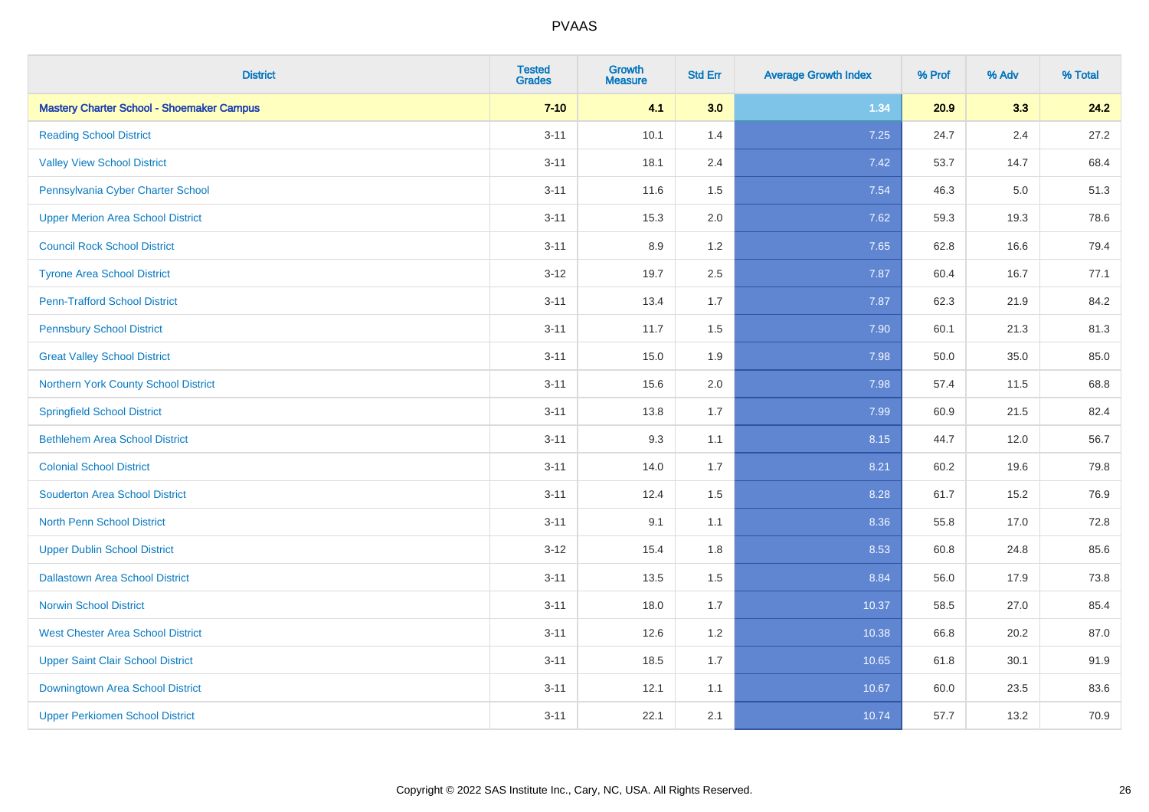| <b>District</b>                                  | <b>Tested</b><br><b>Grades</b> | <b>Growth</b><br><b>Measure</b> | <b>Std Err</b> | <b>Average Growth Index</b> | % Prof | % Adv | % Total |
|--------------------------------------------------|--------------------------------|---------------------------------|----------------|-----------------------------|--------|-------|---------|
| <b>Mastery Charter School - Shoemaker Campus</b> | $7 - 10$                       | 4.1                             | 3.0            | 1.34                        | 20.9   | 3.3   | 24.2    |
| <b>Reading School District</b>                   | $3 - 11$                       | 10.1                            | 1.4            | 7.25                        | 24.7   | 2.4   | 27.2    |
| <b>Valley View School District</b>               | $3 - 11$                       | 18.1                            | 2.4            | 7.42                        | 53.7   | 14.7  | 68.4    |
| Pennsylvania Cyber Charter School                | $3 - 11$                       | 11.6                            | 1.5            | 7.54                        | 46.3   | 5.0   | 51.3    |
| <b>Upper Merion Area School District</b>         | $3 - 11$                       | 15.3                            | 2.0            | 7.62                        | 59.3   | 19.3  | 78.6    |
| <b>Council Rock School District</b>              | $3 - 11$                       | 8.9                             | 1.2            | 7.65                        | 62.8   | 16.6  | 79.4    |
| <b>Tyrone Area School District</b>               | $3 - 12$                       | 19.7                            | 2.5            | 7.87                        | 60.4   | 16.7  | 77.1    |
| <b>Penn-Trafford School District</b>             | $3 - 11$                       | 13.4                            | 1.7            | 7.87                        | 62.3   | 21.9  | 84.2    |
| <b>Pennsbury School District</b>                 | $3 - 11$                       | 11.7                            | 1.5            | 7.90                        | 60.1   | 21.3  | 81.3    |
| <b>Great Valley School District</b>              | $3 - 11$                       | 15.0                            | 1.9            | 7.98                        | 50.0   | 35.0  | 85.0    |
| Northern York County School District             | $3 - 11$                       | 15.6                            | 2.0            | 7.98                        | 57.4   | 11.5  | 68.8    |
| <b>Springfield School District</b>               | $3 - 11$                       | 13.8                            | 1.7            | 7.99                        | 60.9   | 21.5  | 82.4    |
| <b>Bethlehem Area School District</b>            | $3 - 11$                       | 9.3                             | 1.1            | 8.15                        | 44.7   | 12.0  | 56.7    |
| <b>Colonial School District</b>                  | $3 - 11$                       | 14.0                            | 1.7            | 8.21                        | 60.2   | 19.6  | 79.8    |
| <b>Souderton Area School District</b>            | $3 - 11$                       | 12.4                            | 1.5            | 8.28                        | 61.7   | 15.2  | 76.9    |
| <b>North Penn School District</b>                | $3 - 11$                       | 9.1                             | 1.1            | 8.36                        | 55.8   | 17.0  | 72.8    |
| <b>Upper Dublin School District</b>              | $3 - 12$                       | 15.4                            | 1.8            | 8.53                        | 60.8   | 24.8  | 85.6    |
| <b>Dallastown Area School District</b>           | $3 - 11$                       | 13.5                            | 1.5            | 8.84                        | 56.0   | 17.9  | 73.8    |
| <b>Norwin School District</b>                    | $3 - 11$                       | 18.0                            | 1.7            | 10.37                       | 58.5   | 27.0  | 85.4    |
| <b>West Chester Area School District</b>         | $3 - 11$                       | 12.6                            | 1.2            | 10.38                       | 66.8   | 20.2  | 87.0    |
| <b>Upper Saint Clair School District</b>         | $3 - 11$                       | 18.5                            | 1.7            | 10.65                       | 61.8   | 30.1  | 91.9    |
| Downingtown Area School District                 | $3 - 11$                       | 12.1                            | 1.1            | 10.67                       | 60.0   | 23.5  | 83.6    |
| <b>Upper Perkiomen School District</b>           | $3 - 11$                       | 22.1                            | 2.1            | 10.74                       | 57.7   | 13.2  | 70.9    |